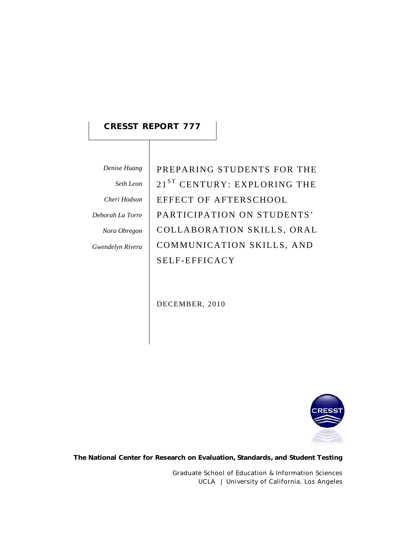## **CRESST REPORT 777**

*Denise Huang Seth Leon Cheri Hodson* 

*Deborah La Torre* 

*Nora Obregon* 

*Gwendelyn Rivera*

PREPARING STUDENTS FOR THE 21<sup>ST</sup> CENTURY: EXPLORING THE EFFECT OF AFTERSCHOOL PARTICIPATION ON STUDENTS' COLLABORATION SKILLS, ORAL COMMUNICATION SKILLS, AND SELF-EFFICACY

DECEMBER, 2010



**The National Center for Research on Evaluation, Standards, and Student Testing**

Graduate School of Education & Information Sciences UCLA | University of California, Los Angeles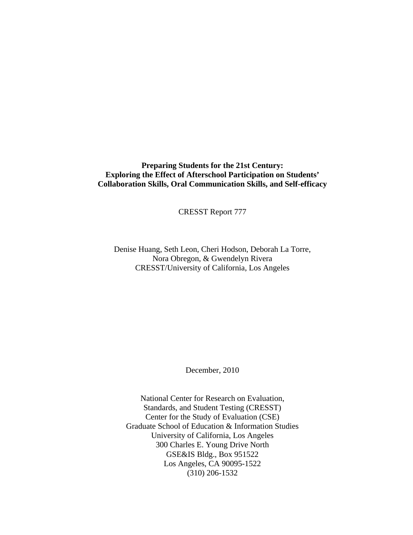## **Preparing Students for the 21st Century: Exploring the Effect of Afterschool Participation on Students' Collaboration Skills, Oral Communication Skills, and Self-efficacy**

CRESST Report 777

Denise Huang, Seth Leon, Cheri Hodson, Deborah La Torre, Nora Obregon, & Gwendelyn Rivera CRESST/University of California, Los Angeles

December, 2010

National Center for Research on Evaluation, Standards, and Student Testing (CRESST) Center for the Study of Evaluation (CSE) Graduate School of Education & Information Studies University of California, Los Angeles 300 Charles E. Young Drive North GSE&IS Bldg., Box 951522 Los Angeles, CA 90095-1522 (310) 206-1532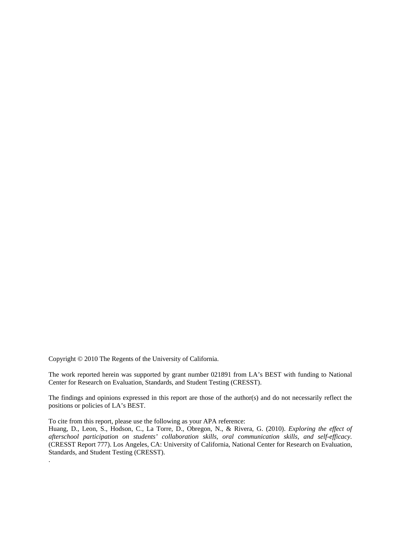Copyright © 2010 The Regents of the University of California.

.

The work reported herein was supported by grant number 021891 from LA's BEST with funding to National Center for Research on Evaluation, Standards, and Student Testing (CRESST).

The findings and opinions expressed in this report are those of the author(s) and do not necessarily reflect the positions or policies of LA's BEST.

To cite from this report, please use the following as your APA reference:

Huang, D., Leon, S., Hodson, C., La Torre, D., Obregon, N., & Rivera, G. (2010). *Exploring the effect of afterschool participation on students' collaboration skills, oral communication skills, and self-efficacy.*  (CRESST Report 777). Los Angeles, CA: University of California, National Center for Research on Evaluation, Standards, and Student Testing (CRESST).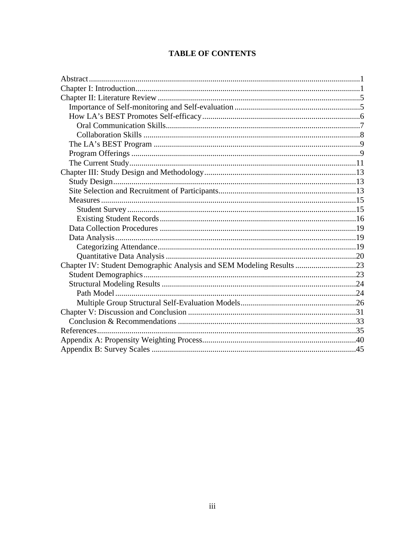## **TABLE OF CONTENTS**

| Chapter IV: Student Demographic Analysis and SEM Modeling Results 23 |  |
|----------------------------------------------------------------------|--|
|                                                                      |  |
|                                                                      |  |
|                                                                      |  |
|                                                                      |  |
|                                                                      |  |
|                                                                      |  |
|                                                                      |  |
|                                                                      |  |
|                                                                      |  |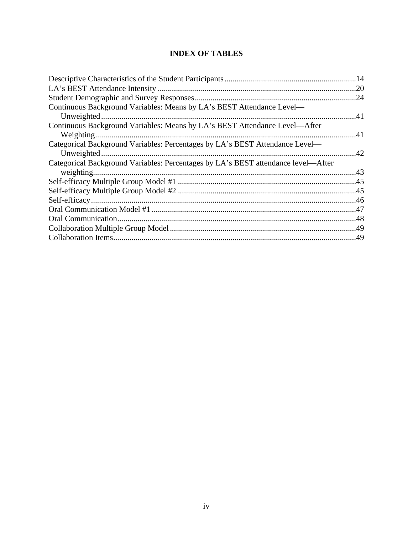## **INDEX OF TABLES**

|                                                                                   | .20 |
|-----------------------------------------------------------------------------------|-----|
|                                                                                   | .24 |
| Continuous Background Variables: Means by LA's BEST Attendance Level—             |     |
| Unweighted.                                                                       | .41 |
| Continuous Background Variables: Means by LA's BEST Attendance Level—After        |     |
|                                                                                   |     |
| Categorical Background Variables: Percentages by LA's BEST Attendance Level-      |     |
|                                                                                   | .42 |
| Categorical Background Variables: Percentages by LA's BEST attendance level—After |     |
|                                                                                   |     |
|                                                                                   |     |
|                                                                                   |     |
|                                                                                   |     |
|                                                                                   |     |
|                                                                                   |     |
|                                                                                   |     |
|                                                                                   |     |
|                                                                                   |     |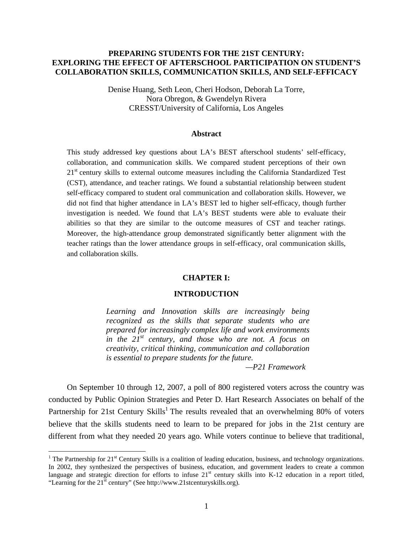## **PREPARING STUDENTS FOR THE 21ST CENTURY: EXPLORING THE EFFECT OF AFTERSCHOOL PARTICIPATION ON STUDENT'S COLLABORATION SKILLS, COMMUNICATION SKILLS, AND SELF-EFFICACY**

Denise Huang, Seth Leon, Cheri Hodson, Deborah La Torre, Nora Obregon, & Gwendelyn Rivera CRESST/University of California, Los Angeles

## **Abstract**

This study addressed key questions about LA's BEST afterschool students' self-efficacy, collaboration, and communication skills. We compared student perceptions of their own  $21<sup>st</sup>$  century skills to external outcome measures including the California Standardized Test (CST), attendance, and teacher ratings. We found a substantial relationship between student self-efficacy compared to student oral communication and collaboration skills. However, we did not find that higher attendance in LA's BEST led to higher self-efficacy, though further investigation is needed. We found that LA's BEST students were able to evaluate their abilities so that they are similar to the outcome measures of CST and teacher ratings. Moreover, the high-attendance group demonstrated significantly better alignment with the teacher ratings than the lower attendance groups in self-efficacy, oral communication skills, and collaboration skills.

## **CHAPTER I:**

## **INTRODUCTION**

*Learning and Innovation skills are increasingly being recognized as the skills that separate students who are prepared for increasingly complex life and work environments in the 21st century, and those who are not. A focus on creativity, critical thinking, communication and collaboration is essential to prepare students for the future.* 

*—P21 Framework* 

On September 10 through 12, 2007, a poll of 800 registered voters across the country was conducted by Public Opinion Strategies and Peter D. Hart Research Associates on behalf of the Partnership for 21st Century Skills<sup>1</sup> The results revealed that an overwhelming 80% of voters believe that the skills students need to learn to be prepared for jobs in the 21st century are different from what they needed 20 years ago. While voters continue to believe that traditional,

<u>.</u>

<sup>&</sup>lt;sup>1</sup> The Partnership for 21<sup>st</sup> Century Skills is a coalition of leading education, business, and technology organizations. In 2002, they synthesized the perspectives of business, education, and government leaders to create a common language and strategic direction for efforts to infuse  $21<sup>st</sup>$  century skills into K-12 education in a report titled, "Learning for the 21<sup>st</sup> century" (See http://www.21stcenturyskills.org).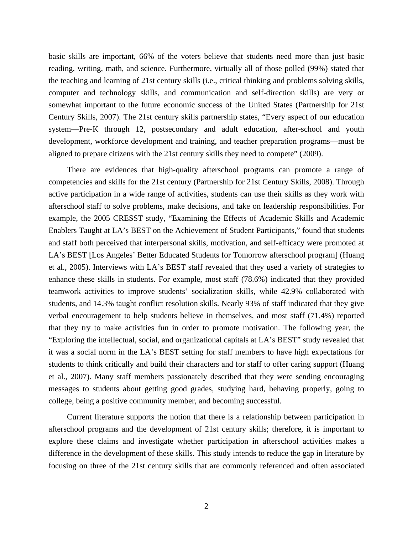basic skills are important, 66% of the voters believe that students need more than just basic reading, writing, math, and science. Furthermore, virtually all of those polled (99%) stated that the teaching and learning of 21st century skills (i.e., critical thinking and problems solving skills, computer and technology skills, and communication and self-direction skills) are very or somewhat important to the future economic success of the United States (Partnership for 21st Century Skills, 2007). The 21st century skills partnership states, "Every aspect of our education system—Pre-K through 12, postsecondary and adult education, after-school and youth development, workforce development and training, and teacher preparation programs—must be aligned to prepare citizens with the 21st century skills they need to compete" (2009).

There are evidences that high-quality afterschool programs can promote a range of competencies and skills for the 21st century (Partnership for 21st Century Skills, 2008). Through active participation in a wide range of activities, students can use their skills as they work with afterschool staff to solve problems, make decisions, and take on leadership responsibilities. For example, the 2005 CRESST study, "Examining the Effects of Academic Skills and Academic Enablers Taught at LA's BEST on the Achievement of Student Participants," found that students and staff both perceived that interpersonal skills, motivation, and self-efficacy were promoted at LA's BEST [Los Angeles' Better Educated Students for Tomorrow afterschool program] (Huang et al., 2005). Interviews with LA's BEST staff revealed that they used a variety of strategies to enhance these skills in students. For example, most staff (78.6%) indicated that they provided teamwork activities to improve students' socialization skills, while 42.9% collaborated with students, and 14.3% taught conflict resolution skills. Nearly 93% of staff indicated that they give verbal encouragement to help students believe in themselves, and most staff (71.4%) reported that they try to make activities fun in order to promote motivation. The following year, the "Exploring the intellectual, social, and organizational capitals at LA's BEST" study revealed that it was a social norm in the LA's BEST setting for staff members to have high expectations for students to think critically and build their characters and for staff to offer caring support (Huang et al., 2007). Many staff members passionately described that they were sending encouraging messages to students about getting good grades, studying hard, behaving properly, going to college, being a positive community member, and becoming successful.

Current literature supports the notion that there is a relationship between participation in afterschool programs and the development of 21st century skills; therefore, it is important to explore these claims and investigate whether participation in afterschool activities makes a difference in the development of these skills. This study intends to reduce the gap in literature by focusing on three of the 21st century skills that are commonly referenced and often associated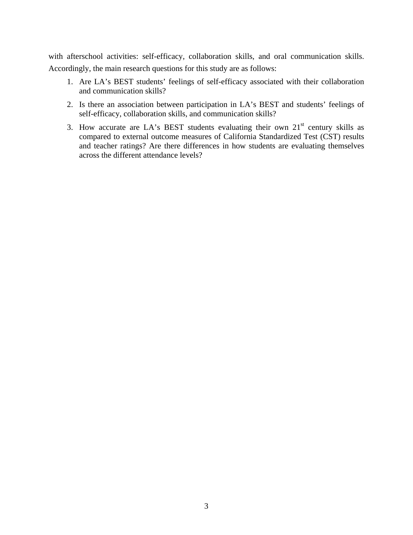with afterschool activities: self-efficacy, collaboration skills, and oral communication skills. Accordingly, the main research questions for this study are as follows:

- 1. Are LA's BEST students' feelings of self-efficacy associated with their collaboration and communication skills?
- 2. Is there an association between participation in LA's BEST and students' feelings of self-efficacy, collaboration skills, and communication skills?
- 3. How accurate are LA's BEST students evaluating their own  $21<sup>st</sup>$  century skills as compared to external outcome measures of California Standardized Test (CST) results and teacher ratings? Are there differences in how students are evaluating themselves across the different attendance levels?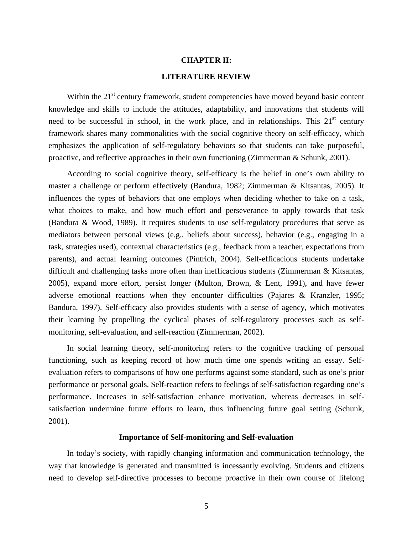## **CHAPTER II: LITERATURE REVIEW**

Within the  $21<sup>st</sup>$  century framework, student competencies have moved beyond basic content knowledge and skills to include the attitudes, adaptability, and innovations that students will need to be successful in school, in the work place, and in relationships. This  $21<sup>st</sup>$  century framework shares many commonalities with the social cognitive theory on self-efficacy, which emphasizes the application of self-regulatory behaviors so that students can take purposeful, proactive, and reflective approaches in their own functioning (Zimmerman & Schunk, 2001).

According to social cognitive theory, self-efficacy is the belief in one's own ability to master a challenge or perform effectively (Bandura, 1982; Zimmerman & Kitsantas, 2005). It influences the types of behaviors that one employs when deciding whether to take on a task, what choices to make, and how much effort and perseverance to apply towards that task (Bandura & Wood, 1989). It requires students to use self-regulatory procedures that serve as mediators between personal views (e.g., beliefs about success), behavior (e.g., engaging in a task, strategies used), contextual characteristics (e.g., feedback from a teacher, expectations from parents), and actual learning outcomes (Pintrich, 2004). Self-efficacious students undertake difficult and challenging tasks more often than inefficacious students (Zimmerman & Kitsantas, 2005), expand more effort, persist longer (Multon, Brown, & Lent, 1991), and have fewer adverse emotional reactions when they encounter difficulties (Pajares & Kranzler, 1995; Bandura, 1997). Self-efficacy also provides students with a sense of agency, which motivates their learning by propelling the cyclical phases of self-regulatory processes such as selfmonitoring, self-evaluation, and self-reaction (Zimmerman, 2002).

In social learning theory, self-monitoring refers to the cognitive tracking of personal functioning, such as keeping record of how much time one spends writing an essay. Selfevaluation refers to comparisons of how one performs against some standard, such as one's prior performance or personal goals. Self-reaction refers to feelings of self-satisfaction regarding one's performance. Increases in self-satisfaction enhance motivation, whereas decreases in selfsatisfaction undermine future efforts to learn, thus influencing future goal setting (Schunk, 2001).

#### **Importance of Self-monitoring and Self-evaluation**

In today's society, with rapidly changing information and communication technology, the way that knowledge is generated and transmitted is incessantly evolving. Students and citizens need to develop self-directive processes to become proactive in their own course of lifelong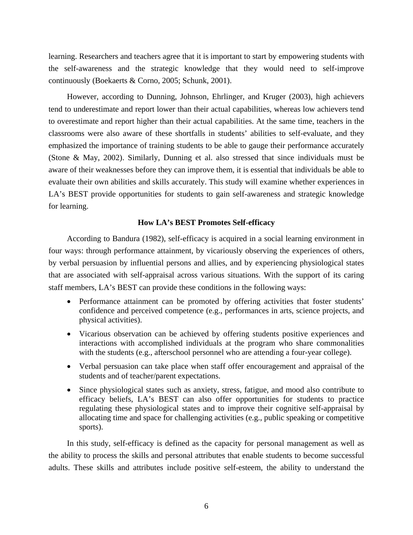learning. Researchers and teachers agree that it is important to start by empowering students with the self-awareness and the strategic knowledge that they would need to self-improve continuously (Boekaerts & Corno, 2005; Schunk, 2001).

However, according to Dunning, Johnson, Ehrlinger, and Kruger (2003), high achievers tend to underestimate and report lower than their actual capabilities, whereas low achievers tend to overestimate and report higher than their actual capabilities. At the same time, teachers in the classrooms were also aware of these shortfalls in students' abilities to self-evaluate, and they emphasized the importance of training students to be able to gauge their performance accurately (Stone & May, 2002). Similarly, Dunning et al. also stressed that since individuals must be aware of their weaknesses before they can improve them, it is essential that individuals be able to evaluate their own abilities and skills accurately. This study will examine whether experiences in LA's BEST provide opportunities for students to gain self-awareness and strategic knowledge for learning.

## **How LA's BEST Promotes Self-efficacy**

According to Bandura (1982), self-efficacy is acquired in a social learning environment in four ways: through performance attainment, by vicariously observing the experiences of others, by verbal persuasion by influential persons and allies, and by experiencing physiological states that are associated with self-appraisal across various situations. With the support of its caring staff members, LA's BEST can provide these conditions in the following ways:

- Performance attainment can be promoted by offering activities that foster students' confidence and perceived competence (e.g., performances in arts, science projects, and physical activities).
- Vicarious observation can be achieved by offering students positive experiences and interactions with accomplished individuals at the program who share commonalities with the students (e.g., afterschool personnel who are attending a four-year college).
- Verbal persuasion can take place when staff offer encouragement and appraisal of the students and of teacher/parent expectations.
- Since physiological states such as anxiety, stress, fatigue, and mood also contribute to efficacy beliefs, LA's BEST can also offer opportunities for students to practice regulating these physiological states and to improve their cognitive self-appraisal by allocating time and space for challenging activities (e.g., public speaking or competitive sports).

In this study, self-efficacy is defined as the capacity for personal management as well as the ability to process the skills and personal attributes that enable students to become successful adults. These skills and attributes include positive self-esteem, the ability to understand the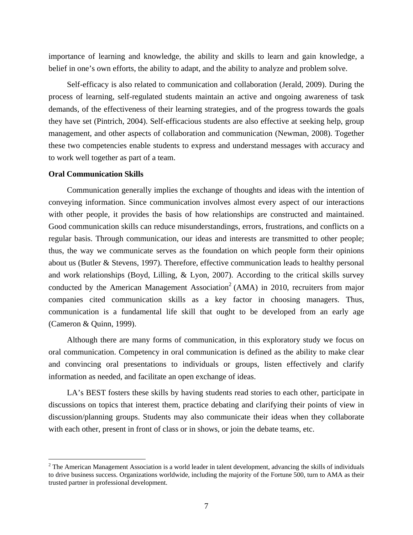importance of learning and knowledge, the ability and skills to learn and gain knowledge, a belief in one's own efforts, the ability to adapt, and the ability to analyze and problem solve.

Self-efficacy is also related to communication and collaboration (Jerald, 2009). During the process of learning, self-regulated students maintain an active and ongoing awareness of task demands, of the effectiveness of their learning strategies, and of the progress towards the goals they have set (Pintrich, 2004). Self-efficacious students are also effective at seeking help, group management, and other aspects of collaboration and communication (Newman, 2008). Together these two competencies enable students to express and understand messages with accuracy and to work well together as part of a team.

## **Oral Communication Skills**

 $\overline{a}$ 

Communication generally implies the exchange of thoughts and ideas with the intention of conveying information. Since communication involves almost every aspect of our interactions with other people, it provides the basis of how relationships are constructed and maintained. Good communication skills can reduce misunderstandings, errors, frustrations, and conflicts on a regular basis. Through communication, our ideas and interests are transmitted to other people; thus, the way we communicate serves as the foundation on which people form their opinions about us (Butler & Stevens, 1997). Therefore, effective communication leads to healthy personal and work relationships (Boyd, Lilling, & Lyon, 2007). According to the critical skills survey conducted by the American Management Association<sup>2</sup> (AMA) in 2010, recruiters from major companies cited communication skills as a key factor in choosing managers. Thus, communication is a fundamental life skill that ought to be developed from an early age (Cameron & Quinn, 1999).

Although there are many forms of communication, in this exploratory study we focus on oral communication. Competency in oral communication is defined as the ability to make clear and convincing oral presentations to individuals or groups, listen effectively and clarify information as needed, and facilitate an open exchange of ideas.

LA's BEST fosters these skills by having students read stories to each other, participate in discussions on topics that interest them, practice debating and clarifying their points of view in discussion/planning groups. Students may also communicate their ideas when they collaborate with each other, present in front of class or in shows, or join the debate teams, etc.

 $2^2$  The American Management Association is a world leader in talent development, advancing the skills of individuals to drive business success. Organizations worldwide, including the majority of the Fortune 500, turn to AMA as their trusted partner in professional development.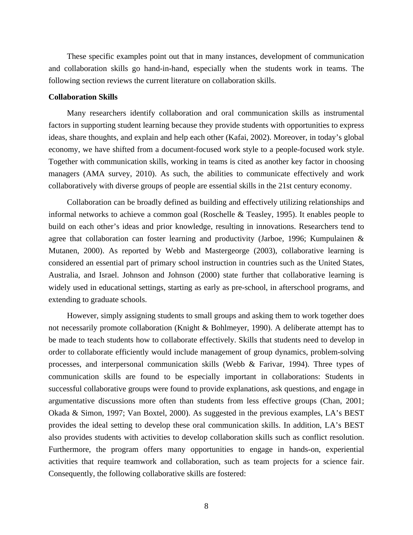These specific examples point out that in many instances, development of communication and collaboration skills go hand-in-hand, especially when the students work in teams. The following section reviews the current literature on collaboration skills.

### **Collaboration Skills**

Many researchers identify collaboration and oral communication skills as instrumental factors in supporting student learning because they provide students with opportunities to express ideas, share thoughts, and explain and help each other (Kafai, 2002). Moreover, in today's global economy, we have shifted from a document-focused work style to a people-focused work style. Together with communication skills, working in teams is cited as another key factor in choosing managers (AMA survey, 2010). As such, the abilities to communicate effectively and work collaboratively with diverse groups of people are essential skills in the 21st century economy.

Collaboration can be broadly defined as building and effectively utilizing relationships and informal networks to achieve a common goal (Roschelle & Teasley, 1995). It enables people to build on each other's ideas and prior knowledge, resulting in innovations. Researchers tend to agree that collaboration can foster learning and productivity (Jarboe, 1996; Kumpulainen & Mutanen, 2000). As reported by Webb and Mastergeorge (2003), collaborative learning is considered an essential part of primary school instruction in countries such as the United States, Australia, and Israel. Johnson and Johnson (2000) state further that collaborative learning is widely used in educational settings, starting as early as pre-school, in afterschool programs, and extending to graduate schools.

However, simply assigning students to small groups and asking them to work together does not necessarily promote collaboration (Knight & Bohlmeyer, 1990). A deliberate attempt has to be made to teach students how to collaborate effectively. Skills that students need to develop in order to collaborate efficiently would include management of group dynamics, problem-solving processes, and interpersonal communication skills (Webb & Farivar, 1994). Three types of communication skills are found to be especially important in collaborations: Students in successful collaborative groups were found to provide explanations, ask questions, and engage in argumentative discussions more often than students from less effective groups (Chan, 2001; Okada & Simon, 1997; Van Boxtel, 2000). As suggested in the previous examples, LA's BEST provides the ideal setting to develop these oral communication skills. In addition, LA's BEST also provides students with activities to develop collaboration skills such as conflict resolution. Furthermore, the program offers many opportunities to engage in hands-on, experiential activities that require teamwork and collaboration, such as team projects for a science fair. Consequently, the following collaborative skills are fostered: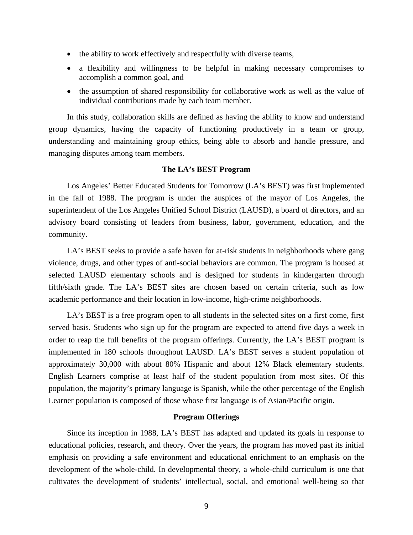- the ability to work effectively and respectfully with diverse teams,
- a flexibility and willingness to be helpful in making necessary compromises to accomplish a common goal, and
- the assumption of shared responsibility for collaborative work as well as the value of individual contributions made by each team member.

In this study, collaboration skills are defined as having the ability to know and understand group dynamics, having the capacity of functioning productively in a team or group, understanding and maintaining group ethics, being able to absorb and handle pressure, and managing disputes among team members.

## **The LA's BEST Program**

Los Angeles' Better Educated Students for Tomorrow (LA's BEST) was first implemented in the fall of 1988. The program is under the auspices of the mayor of Los Angeles, the superintendent of the Los Angeles Unified School District (LAUSD), a board of directors, and an advisory board consisting of leaders from business, labor, government, education, and the community.

LA's BEST seeks to provide a safe haven for at-risk students in neighborhoods where gang violence, drugs, and other types of anti-social behaviors are common. The program is housed at selected LAUSD elementary schools and is designed for students in kindergarten through fifth/sixth grade. The LA's BEST sites are chosen based on certain criteria, such as low academic performance and their location in low-income, high-crime neighborhoods.

LA's BEST is a free program open to all students in the selected sites on a first come, first served basis. Students who sign up for the program are expected to attend five days a week in order to reap the full benefits of the program offerings. Currently, the LA's BEST program is implemented in 180 schools throughout LAUSD. LA's BEST serves a student population of approximately 30,000 with about 80% Hispanic and about 12% Black elementary students. English Learners comprise at least half of the student population from most sites. Of this population, the majority's primary language is Spanish, while the other percentage of the English Learner population is composed of those whose first language is of Asian/Pacific origin.

## **Program Offerings**

Since its inception in 1988, LA's BEST has adapted and updated its goals in response to educational policies, research, and theory. Over the years, the program has moved past its initial emphasis on providing a safe environment and educational enrichment to an emphasis on the development of the whole-child. In developmental theory, a whole-child curriculum is one that cultivates the development of students' intellectual, social, and emotional well-being so that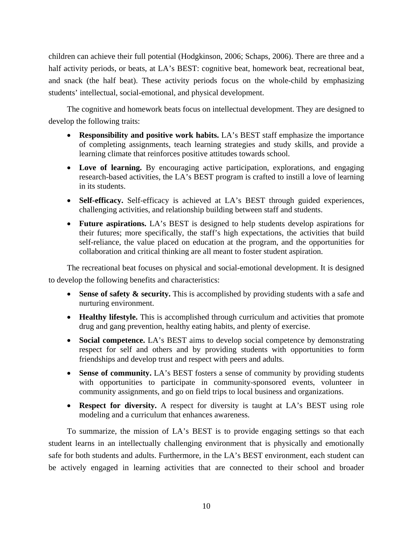children can achieve their full potential (Hodgkinson, 2006; Schaps, 2006). There are three and a half activity periods, or beats, at LA's BEST: cognitive beat, homework beat, recreational beat, and snack (the half beat). These activity periods focus on the whole-child by emphasizing students' intellectual, social-emotional, and physical development.

The cognitive and homework beats focus on intellectual development. They are designed to develop the following traits:

- **Responsibility and positive work habits.** LA's BEST staff emphasize the importance of completing assignments, teach learning strategies and study skills, and provide a learning climate that reinforces positive attitudes towards school.
- **Love of learning.** By encouraging active participation, explorations, and engaging research-based activities, the LA's BEST program is crafted to instill a love of learning in its students.
- **Self-efficacy.** Self-efficacy is achieved at LA's BEST through guided experiences, challenging activities, and relationship building between staff and students.
- **Future aspirations.** LA's BEST is designed to help students develop aspirations for their futures; more specifically, the staff's high expectations, the activities that build self-reliance, the value placed on education at the program, and the opportunities for collaboration and critical thinking are all meant to foster student aspiration.

The recreational beat focuses on physical and social-emotional development. It is designed to develop the following benefits and characteristics:

- Sense of safety  $\&$  security. This is accomplished by providing students with a safe and nurturing environment.
- **Healthy lifestyle.** This is accomplished through curriculum and activities that promote drug and gang prevention, healthy eating habits, and plenty of exercise.
- **Social competence.** LA's BEST aims to develop social competence by demonstrating respect for self and others and by providing students with opportunities to form friendships and develop trust and respect with peers and adults.
- **Sense of community.** LA's BEST fosters a sense of community by providing students with opportunities to participate in community-sponsored events, volunteer in community assignments, and go on field trips to local business and organizations.
- **Respect for diversity.** A respect for diversity is taught at LA's BEST using role modeling and a curriculum that enhances awareness.

To summarize, the mission of LA's BEST is to provide engaging settings so that each student learns in an intellectually challenging environment that is physically and emotionally safe for both students and adults. Furthermore, in the LA's BEST environment, each student can be actively engaged in learning activities that are connected to their school and broader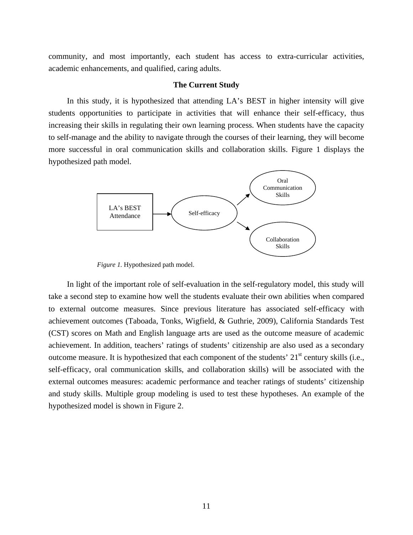community, and most importantly, each student has access to extra-curricular activities, academic enhancements, and qualified, caring adults.

## **The Current Study**

In this study, it is hypothesized that attending LA's BEST in higher intensity will give students opportunities to participate in activities that will enhance their self-efficacy, thus increasing their skills in regulating their own learning process. When students have the capacity to self-manage and the ability to navigate through the courses of their learning, they will become more successful in oral communication skills and collaboration skills. Figure 1 displays the hypothesized path model.



*Figure 1.* Hypothesized path model.

In light of the important role of self-evaluation in the self-regulatory model, this study will take a second step to examine how well the students evaluate their own abilities when compared to external outcome measures. Since previous literature has associated self-efficacy with achievement outcomes (Taboada, Tonks, Wigfield, & Guthrie, 2009), California Standards Test (CST) scores on Math and English language arts are used as the outcome measure of academic achievement. In addition, teachers' ratings of students' citizenship are also used as a secondary outcome measure. It is hypothesized that each component of the students'  $21<sup>st</sup>$  century skills (i.e., self-efficacy, oral communication skills, and collaboration skills) will be associated with the external outcomes measures: academic performance and teacher ratings of students' citizenship and study skills. Multiple group modeling is used to test these hypotheses. An example of the hypothesized model is shown in Figure 2.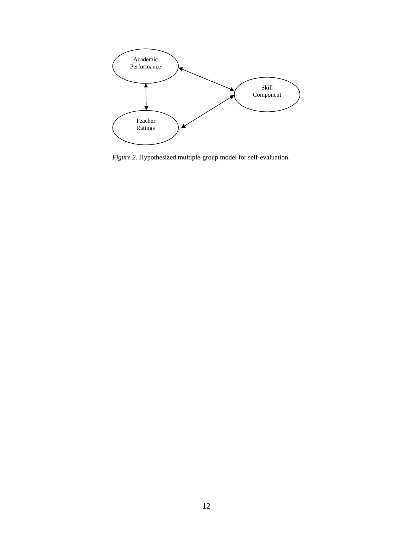

*Figure 2.* Hypothesized multiple-group model for self-evaluation.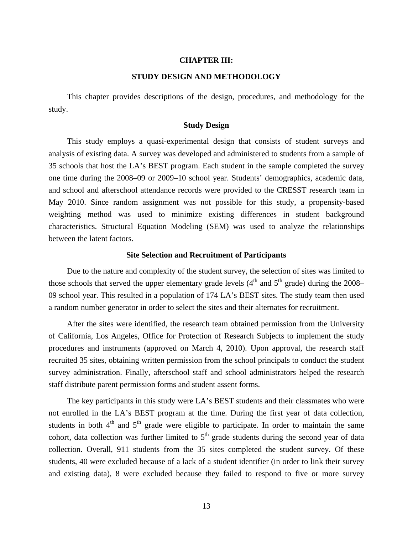## **CHAPTER III:**

## **STUDY DESIGN AND METHODOLOGY**

This chapter provides descriptions of the design, procedures, and methodology for the study.

## **Study Design**

This study employs a quasi-experimental design that consists of student surveys and analysis of existing data. A survey was developed and administered to students from a sample of 35 schools that host the LA's BEST program. Each student in the sample completed the survey one time during the 2008–09 or 2009–10 school year. Students' demographics, academic data, and school and afterschool attendance records were provided to the CRESST research team in May 2010. Since random assignment was not possible for this study, a propensity-based weighting method was used to minimize existing differences in student background characteristics. Structural Equation Modeling (SEM) was used to analyze the relationships between the latent factors.

#### **Site Selection and Recruitment of Participants**

Due to the nature and complexity of the student survey, the selection of sites was limited to those schools that served the upper elementary grade levels  $(4<sup>th</sup>$  and  $5<sup>th</sup>$  grade) during the 2008– 09 school year. This resulted in a population of 174 LA's BEST sites. The study team then used a random number generator in order to select the sites and their alternates for recruitment.

After the sites were identified, the research team obtained permission from the University of California, Los Angeles, Office for Protection of Research Subjects to implement the study procedures and instruments (approved on March 4, 2010). Upon approval, the research staff recruited 35 sites, obtaining written permission from the school principals to conduct the student survey administration. Finally, afterschool staff and school administrators helped the research staff distribute parent permission forms and student assent forms.

The key participants in this study were LA's BEST students and their classmates who were not enrolled in the LA's BEST program at the time. During the first year of data collection, students in both  $4<sup>th</sup>$  and  $5<sup>th</sup>$  grade were eligible to participate. In order to maintain the same cohort, data collection was further limited to  $5<sup>th</sup>$  grade students during the second year of data collection. Overall, 911 students from the 35 sites completed the student survey. Of these students, 40 were excluded because of a lack of a student identifier (in order to link their survey and existing data), 8 were excluded because they failed to respond to five or more survey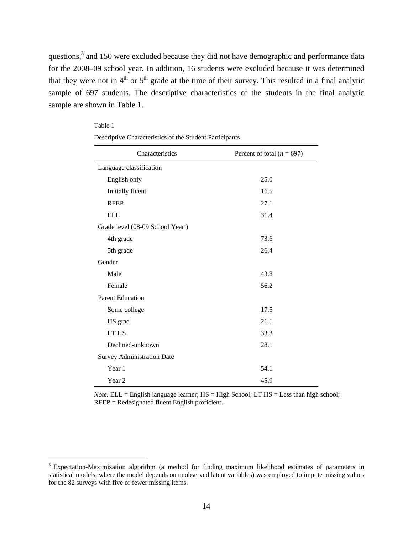questions,<sup>3</sup> and 150 were excluded because they did not have demographic and performance data for the 2008–09 school year. In addition, 16 students were excluded because it was determined that they were not in  $4<sup>th</sup>$  or  $5<sup>th</sup>$  grade at the time of their survey. This resulted in a final analytic sample of 697 students. The descriptive characteristics of the students in the final analytic sample are shown in Table 1.

| Characteristics                   | Percent of total ( $n = 697$ ) |
|-----------------------------------|--------------------------------|
| Language classification           |                                |
| English only                      | 25.0                           |
| Initially fluent                  | 16.5                           |
| <b>RFEP</b>                       | 27.1                           |
| <b>ELL</b>                        | 31.4                           |
| Grade level (08-09 School Year)   |                                |
| 4th grade                         | 73.6                           |
| 5th grade                         | 26.4                           |
| Gender                            |                                |
| Male                              | 43.8                           |
| Female                            | 56.2                           |
| <b>Parent Education</b>           |                                |
| Some college                      | 17.5                           |
| HS grad                           | 21.1                           |
| LT HS                             | 33.3                           |
| Declined-unknown                  | 28.1                           |
| <b>Survey Administration Date</b> |                                |
| Year 1                            | 54.1                           |
| Year 2                            | 45.9                           |

| Table 1                                                 |
|---------------------------------------------------------|
| Descriptive Characteristics of the Student Participants |

*Note*. ELL = English language learner; HS = High School; LT HS = Less than high school; RFEP = Redesignated fluent English proficient.

 $\overline{a}$ 

<sup>&</sup>lt;sup>3</sup> Expectation-Maximization algorithm (a method for finding maximum likelihood estimates of parameters in statistical models, where the model depends on unobserved latent variables) was employed to impute missing values for the 82 surveys with five or fewer missing items.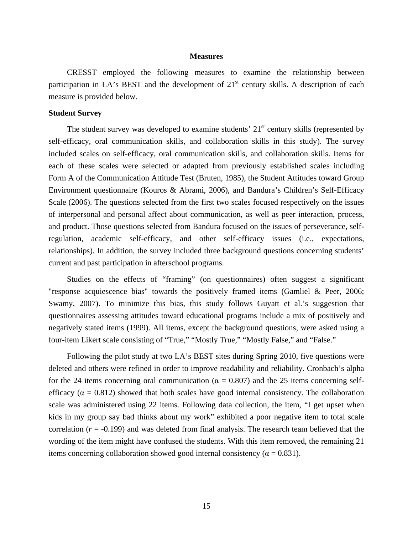#### **Measures**

CRESST employed the following measures to examine the relationship between participation in LA's BEST and the development of  $21<sup>st</sup>$  century skills. A description of each measure is provided below.

## **Student Survey**

The student survey was developed to examine students'  $21<sup>st</sup>$  century skills (represented by self-efficacy, oral communication skills, and collaboration skills in this study). The survey included scales on self-efficacy, oral communication skills, and collaboration skills. Items for each of these scales were selected or adapted from previously established scales including Form A of the Communication Attitude Test (Bruten, 1985), the Student Attitudes toward Group Environment questionnaire (Kouros & Abrami, 2006), and Bandura's Children's Self-Efficacy Scale (2006). The questions selected from the first two scales focused respectively on the issues of interpersonal and personal affect about communication, as well as peer interaction, process, and product. Those questions selected from Bandura focused on the issues of perseverance, selfregulation, academic self-efficacy, and other self-efficacy issues (i.e., expectations, relationships). In addition, the survey included three background questions concerning students' current and past participation in afterschool programs.

Studies on the effects of "framing" (on questionnaires) often suggest a significant "response acquiescence bias" towards the positively framed items (Gamliel & Peer, 2006; Swamy, 2007). To minimize this bias, this study follows Guyatt et al.'s suggestion that questionnaires assessing attitudes toward educational programs include a mix of positively and negatively stated items (1999). All items, except the background questions, were asked using a four-item Likert scale consisting of "True," "Mostly True," "Mostly False," and "False."

Following the pilot study at two LA's BEST sites during Spring 2010, five questions were deleted and others were refined in order to improve readability and reliability. Cronbach's alpha for the 24 items concerning oral communication ( $\alpha = 0.807$ ) and the 25 items concerning selfefficacy ( $\alpha = 0.812$ ) showed that both scales have good internal consistency. The collaboration scale was administered using 22 items. Following data collection, the item, "I get upset when kids in my group say bad thinks about my work" exhibited a poor negative item to total scale correlation  $(r = -0.199)$  and was deleted from final analysis. The research team believed that the wording of the item might have confused the students. With this item removed, the remaining 21 items concerning collaboration showed good internal consistency ( $\alpha = 0.831$ ).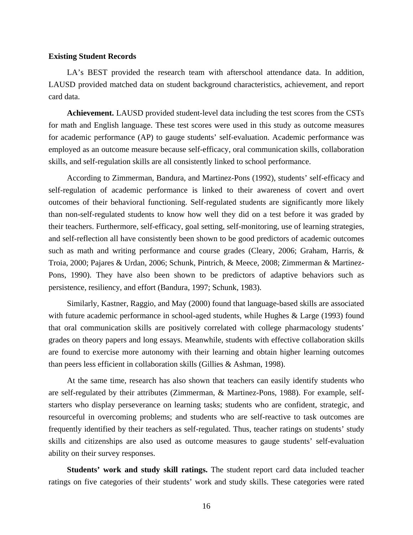#### **Existing Student Records**

LA's BEST provided the research team with afterschool attendance data. In addition, LAUSD provided matched data on student background characteristics, achievement, and report card data.

**Achievement.** LAUSD provided student-level data including the test scores from the CSTs for math and English language. These test scores were used in this study as outcome measures for academic performance (AP) to gauge students' self-evaluation. Academic performance was employed as an outcome measure because self-efficacy, oral communication skills, collaboration skills, and self-regulation skills are all consistently linked to school performance.

According to Zimmerman, Bandura, and Martinez-Pons (1992), students' self-efficacy and self-regulation of academic performance is linked to their awareness of covert and overt outcomes of their behavioral functioning. Self-regulated students are significantly more likely than non-self-regulated students to know how well they did on a test before it was graded by their teachers. Furthermore, self-efficacy, goal setting, self-monitoring, use of learning strategies, and self-reflection all have consistently been shown to be good predictors of academic outcomes such as math and writing performance and course grades (Cleary, 2006; Graham, Harris, & Troia, 2000; Pajares & Urdan, 2006; Schunk, Pintrich, & Meece, 2008; Zimmerman & Martinez-Pons, 1990). They have also been shown to be predictors of adaptive behaviors such as persistence, resiliency, and effort (Bandura, 1997; Schunk, 1983).

Similarly, Kastner, Raggio, and May (2000) found that language-based skills are associated with future academic performance in school-aged students, while Hughes & Large (1993) found that oral communication skills are positively correlated with college pharmacology students' grades on theory papers and long essays. Meanwhile, students with effective collaboration skills are found to exercise more autonomy with their learning and obtain higher learning outcomes than peers less efficient in collaboration skills (Gillies & Ashman, 1998).

At the same time, research has also shown that teachers can easily identify students who are self-regulated by their attributes (Zimmerman, & Martinez-Pons, 1988). For example, selfstarters who display perseverance on learning tasks; students who are confident, strategic, and resourceful in overcoming problems; and students who are self-reactive to task outcomes are frequently identified by their teachers as self-regulated. Thus, teacher ratings on students' study skills and citizenships are also used as outcome measures to gauge students' self-evaluation ability on their survey responses.

**Students' work and study skill ratings.** The student report card data included teacher ratings on five categories of their students' work and study skills. These categories were rated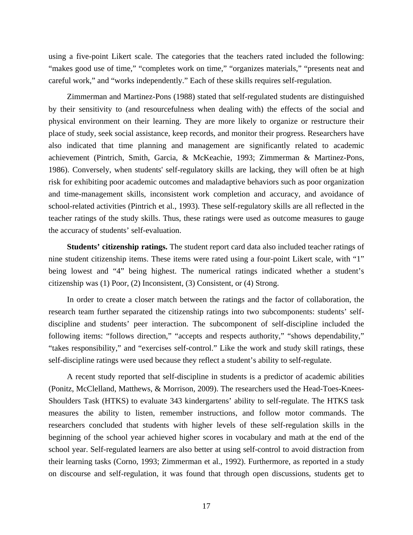using a five-point Likert scale. The categories that the teachers rated included the following: "makes good use of time," "completes work on time," "organizes materials," "presents neat and careful work," and "works independently." Each of these skills requires self-regulation.

Zimmerman and Martinez-Pons (1988) stated that self-regulated students are distinguished by their sensitivity to (and resourcefulness when dealing with) the effects of the social and physical environment on their learning. They are more likely to organize or restructure their place of study, seek social assistance, keep records, and monitor their progress. Researchers have also indicated that time planning and management are significantly related to academic achievement (Pintrich, Smith, Garcia, & McKeachie, 1993; Zimmerman & Martinez-Pons, 1986). Conversely, when students' self-regulatory skills are lacking, they will often be at high risk for exhibiting poor academic outcomes and maladaptive behaviors such as poor organization and time-management skills, inconsistent work completion and accuracy, and avoidance of school-related activities (Pintrich et al., 1993). These self-regulatory skills are all reflected in the teacher ratings of the study skills. Thus, these ratings were used as outcome measures to gauge the accuracy of students' self-evaluation.

**Students' citizenship ratings.** The student report card data also included teacher ratings of nine student citizenship items. These items were rated using a four-point Likert scale, with "1" being lowest and "4" being highest. The numerical ratings indicated whether a student's citizenship was (1) Poor, (2) Inconsistent, (3) Consistent, or (4) Strong.

In order to create a closer match between the ratings and the factor of collaboration, the research team further separated the citizenship ratings into two subcomponents: students' selfdiscipline and students' peer interaction. The subcomponent of self-discipline included the following items: "follows direction," "accepts and respects authority," "shows dependability," "takes responsibility," and "exercises self-control." Like the work and study skill ratings, these self-discipline ratings were used because they reflect a student's ability to self-regulate.

A recent study reported that self-discipline in students is a predictor of academic abilities (Ponitz, McClelland, Matthews, & Morrison, 2009). The researchers used the Head-Toes-Knees-Shoulders Task (HTKS) to evaluate 343 kindergartens' ability to self-regulate. The HTKS task measures the ability to listen, remember instructions, and follow motor commands. The researchers concluded that students with higher levels of these self-regulation skills in the beginning of the school year achieved higher scores in vocabulary and math at the end of the school year. Self-regulated learners are also better at using self-control to avoid distraction from their learning tasks (Corno, 1993; Zimmerman et al., 1992). Furthermore, as reported in a study on discourse and self-regulation, it was found that through open discussions, students get to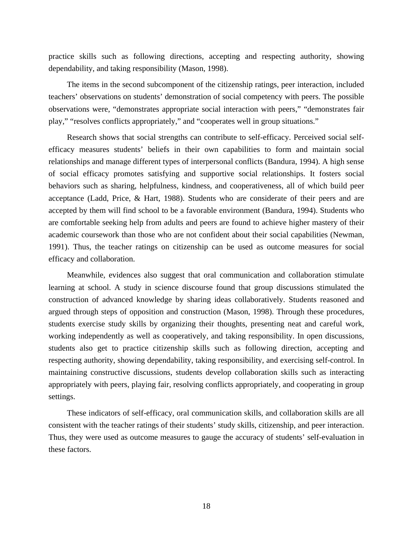practice skills such as following directions, accepting and respecting authority, showing dependability, and taking responsibility (Mason, 1998).

The items in the second subcomponent of the citizenship ratings, peer interaction, included teachers' observations on students' demonstration of social competency with peers. The possible observations were, "demonstrates appropriate social interaction with peers," "demonstrates fair play," "resolves conflicts appropriately," and "cooperates well in group situations."

Research shows that social strengths can contribute to self-efficacy. Perceived social selfefficacy measures students' beliefs in their own capabilities to form and maintain social relationships and manage different types of interpersonal conflicts (Bandura, 1994). A high sense of social efficacy promotes satisfying and supportive social relationships. It fosters social behaviors such as sharing, helpfulness, kindness, and cooperativeness, all of which build peer acceptance (Ladd, Price, & Hart, 1988). Students who are considerate of their peers and are accepted by them will find school to be a favorable environment (Bandura, 1994). Students who are comfortable seeking help from adults and peers are found to achieve higher mastery of their academic coursework than those who are not confident about their social capabilities (Newman, 1991). Thus, the teacher ratings on citizenship can be used as outcome measures for social efficacy and collaboration.

Meanwhile, evidences also suggest that oral communication and collaboration stimulate learning at school. A study in science discourse found that group discussions stimulated the construction of advanced knowledge by sharing ideas collaboratively. Students reasoned and argued through steps of opposition and construction (Mason, 1998). Through these procedures, students exercise study skills by organizing their thoughts, presenting neat and careful work, working independently as well as cooperatively, and taking responsibility. In open discussions, students also get to practice citizenship skills such as following direction, accepting and respecting authority, showing dependability, taking responsibility, and exercising self-control. In maintaining constructive discussions, students develop collaboration skills such as interacting appropriately with peers, playing fair, resolving conflicts appropriately, and cooperating in group settings.

These indicators of self-efficacy, oral communication skills, and collaboration skills are all consistent with the teacher ratings of their students' study skills, citizenship, and peer interaction. Thus, they were used as outcome measures to gauge the accuracy of students' self-evaluation in these factors.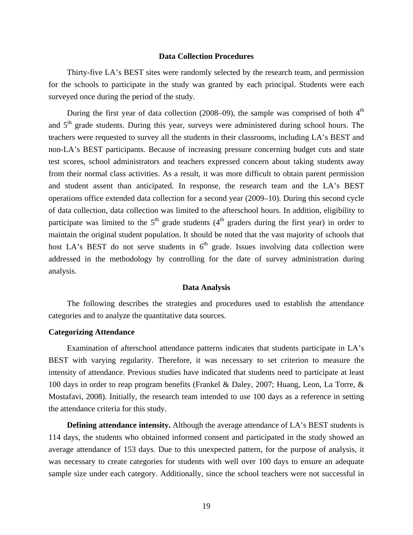### **Data Collection Procedures**

Thirty-five LA's BEST sites were randomly selected by the research team, and permission for the schools to participate in the study was granted by each principal. Students were each surveyed once during the period of the study.

During the first year of data collection (2008–09), the sample was comprised of both  $4<sup>th</sup>$ and  $5<sup>th</sup>$  grade students. During this year, surveys were administered during school hours. The teachers were requested to survey all the students in their classrooms, including LA's BEST and non-LA's BEST participants. Because of increasing pressure concerning budget cuts and state test scores, school administrators and teachers expressed concern about taking students away from their normal class activities. As a result, it was more difficult to obtain parent permission and student assent than anticipated. In response, the research team and the LA's BEST operations office extended data collection for a second year (2009–10). During this second cycle of data collection, data collection was limited to the afterschool hours. In addition, eligibility to participate was limited to the  $5<sup>th</sup>$  grade students (4<sup>th</sup> graders during the first year) in order to maintain the original student population. It should be noted that the vast majority of schools that host LA's BEST do not serve students in  $6<sup>th</sup>$  grade. Issues involving data collection were addressed in the methodology by controlling for the date of survey administration during analysis.

## **Data Analysis**

The following describes the strategies and procedures used to establish the attendance categories and to analyze the quantitative data sources.

## **Categorizing Attendance**

Examination of afterschool attendance patterns indicates that students participate in LA's BEST with varying regularity. Therefore, it was necessary to set criterion to measure the intensity of attendance. Previous studies have indicated that students need to participate at least 100 days in order to reap program benefits (Frankel & Daley, 2007; Huang, Leon, La Torre, & Mostafavi, 2008). Initially, the research team intended to use 100 days as a reference in setting the attendance criteria for this study.

**Defining attendance intensity.** Although the average attendance of LA's BEST students is 114 days, the students who obtained informed consent and participated in the study showed an average attendance of 153 days. Due to this unexpected pattern, for the purpose of analysis, it was necessary to create categories for students with well over 100 days to ensure an adequate sample size under each category. Additionally, since the school teachers were not successful in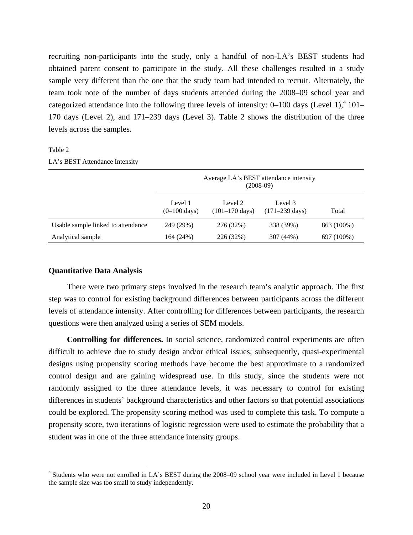recruiting non-participants into the study, only a handful of non-LA's BEST students had obtained parent consent to participate in the study. All these challenges resulted in a study sample very different than the one that the study team had intended to recruit. Alternately, the team took note of the number of days students attended during the 2008–09 school year and categorized attendance into the following three levels of intensity:  $0-100$  days (Level 1),<sup>4</sup> 101– 170 days (Level 2), and 171–239 days (Level 3). Table 2 shows the distribution of the three levels across the samples.

## Table 2

1

#### LA's BEST Attendance Intensity

|                                    | Average LA's BEST attendance intensity<br>$(2008-09)$ |                                     |                                       |            |  |
|------------------------------------|-------------------------------------------------------|-------------------------------------|---------------------------------------|------------|--|
|                                    | Level 1<br>$(0-100 \text{ days})$                     | Level 2<br>$(101-170 \text{ days})$ | Level 3<br>$(171 - 239 \text{ days})$ | Total      |  |
| Usable sample linked to attendance | 249 (29%)                                             | 276 (32%)                           | 338 (39%)                             | 863 (100%) |  |
| Analytical sample                  | 164 (24%)                                             | 226 (32%)                           | 307 (44%)                             | 697 (100%) |  |

## **Quantitative Data Analysis**

There were two primary steps involved in the research team's analytic approach. The first step was to control for existing background differences between participants across the different levels of attendance intensity. After controlling for differences between participants, the research questions were then analyzed using a series of SEM models.

**Controlling for differences.** In social science, randomized control experiments are often difficult to achieve due to study design and/or ethical issues; subsequently, quasi-experimental designs using propensity scoring methods have become the best approximate to a randomized control design and are gaining widespread use. In this study, since the students were not randomly assigned to the three attendance levels, it was necessary to control for existing differences in students' background characteristics and other factors so that potential associations could be explored. The propensity scoring method was used to complete this task. To compute a propensity score, two iterations of logistic regression were used to estimate the probability that a student was in one of the three attendance intensity groups.

<sup>&</sup>lt;sup>4</sup> Students who were not enrolled in LA's BEST during the 2008–09 school year were included in Level 1 because the sample size was too small to study independently.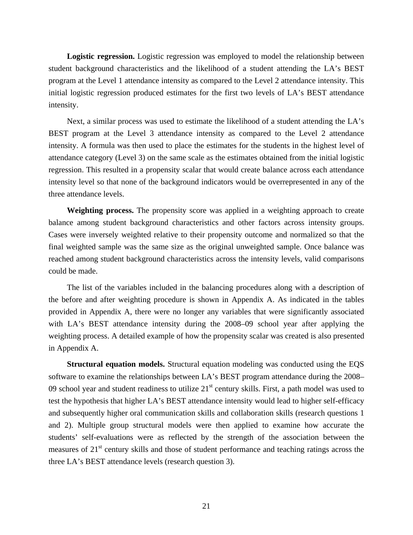**Logistic regression.** Logistic regression was employed to model the relationship between student background characteristics and the likelihood of a student attending the LA's BEST program at the Level 1 attendance intensity as compared to the Level 2 attendance intensity. This initial logistic regression produced estimates for the first two levels of LA's BEST attendance intensity.

Next, a similar process was used to estimate the likelihood of a student attending the LA's BEST program at the Level 3 attendance intensity as compared to the Level 2 attendance intensity. A formula was then used to place the estimates for the students in the highest level of attendance category (Level 3) on the same scale as the estimates obtained from the initial logistic regression. This resulted in a propensity scalar that would create balance across each attendance intensity level so that none of the background indicators would be overrepresented in any of the three attendance levels.

**Weighting process.** The propensity score was applied in a weighting approach to create balance among student background characteristics and other factors across intensity groups. Cases were inversely weighted relative to their propensity outcome and normalized so that the final weighted sample was the same size as the original unweighted sample. Once balance was reached among student background characteristics across the intensity levels, valid comparisons could be made.

The list of the variables included in the balancing procedures along with a description of the before and after weighting procedure is shown in Appendix A. As indicated in the tables provided in Appendix A, there were no longer any variables that were significantly associated with LA's BEST attendance intensity during the 2008–09 school year after applying the weighting process. A detailed example of how the propensity scalar was created is also presented in Appendix A.

**Structural equation models.** Structural equation modeling was conducted using the EQS software to examine the relationships between LA's BEST program attendance during the 2008– 09 school year and student readiness to utilize  $21<sup>st</sup>$  century skills. First, a path model was used to test the hypothesis that higher LA's BEST attendance intensity would lead to higher self-efficacy and subsequently higher oral communication skills and collaboration skills (research questions 1 and 2). Multiple group structural models were then applied to examine how accurate the students' self-evaluations were as reflected by the strength of the association between the measures of 21<sup>st</sup> century skills and those of student performance and teaching ratings across the three LA's BEST attendance levels (research question 3).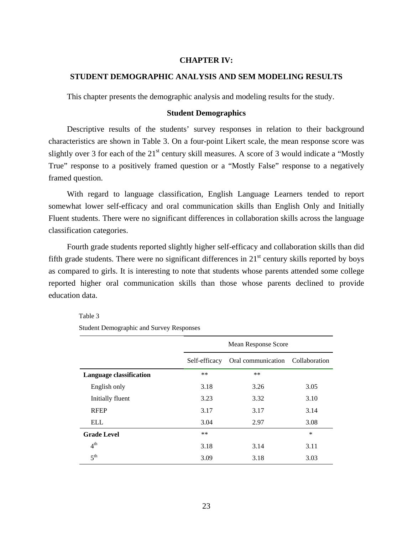## **CHAPTER IV:**

## **STUDENT DEMOGRAPHIC ANALYSIS AND SEM MODELING RESULTS**

This chapter presents the demographic analysis and modeling results for the study.

## **Student Demographics**

Descriptive results of the students' survey responses in relation to their background characteristics are shown in Table 3. On a four-point Likert scale, the mean response score was slightly over 3 for each of the  $21<sup>st</sup>$  century skill measures. A score of 3 would indicate a "Mostly True" response to a positively framed question or a "Mostly False" response to a negatively framed question.

With regard to language classification, English Language Learners tended to report somewhat lower self-efficacy and oral communication skills than English Only and Initially Fluent students. There were no significant differences in collaboration skills across the language classification categories.

Fourth grade students reported slightly higher self-efficacy and collaboration skills than did fifth grade students. There were no significant differences in  $21<sup>st</sup>$  century skills reported by boys as compared to girls. It is interesting to note that students whose parents attended some college reported higher oral communication skills than those whose parents declined to provide education data.

### Table 3

Student Demographic and Survey Responses

|                                | Mean Response Score |                                  |        |  |
|--------------------------------|---------------------|----------------------------------|--------|--|
|                                | Self-efficacy       | Oral communication Collaboration |        |  |
| <b>Language classification</b> | $***$               | $***$                            |        |  |
| English only                   | 3.18                | 3.26                             | 3.05   |  |
| Initially fluent               | 3.23                | 3.32                             | 3.10   |  |
| <b>RFEP</b>                    | 3.17                | 3.17                             | 3.14   |  |
| <b>ELL</b>                     | 3.04                | 2.97                             | 3.08   |  |
| <b>Grade Level</b>             | $***$               |                                  | $\ast$ |  |
| 4 <sup>th</sup>                | 3.18                | 3.14                             | 3.11   |  |
| 5 <sup>th</sup>                | 3.09                | 3.18                             | 3.03   |  |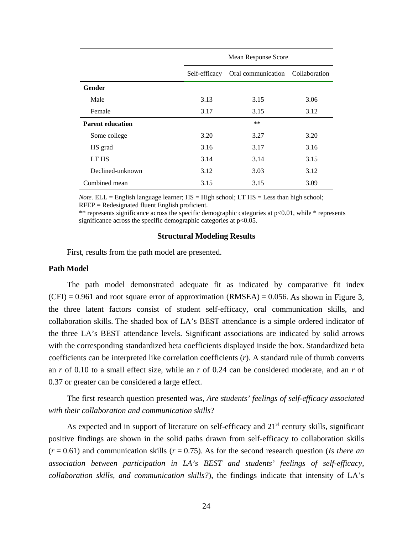|                         | Mean Response Score |                                   |      |  |  |
|-------------------------|---------------------|-----------------------------------|------|--|--|
|                         | Self-efficacy       | Oral communication  Collaboration |      |  |  |
| Gender                  |                     |                                   |      |  |  |
| Male                    | 3.13                | 3.15                              | 3.06 |  |  |
| Female                  | 3.17                | 3.15                              | 3.12 |  |  |
| <b>Parent education</b> |                     | $**$                              |      |  |  |
| Some college            | 3.20                | 3.27                              | 3.20 |  |  |
| HS grad                 | 3.16                | 3.17                              | 3.16 |  |  |
| LT HS                   | 3.14                | 3.14                              | 3.15 |  |  |
| Declined-unknown        | 3.12                | 3.03                              | 3.12 |  |  |
| Combined mean           | 3.15                | 3.15                              | 3.09 |  |  |

*Note.* ELL = English language learner;  $HS = High school$ ;  $LT HS = Less than high school$ ; RFEP = Redesignated fluent English proficient.

\*\* represents significance across the specific demographic categories at p<0.01, while \* represents significance across the specific demographic categories at  $p<0.05$ .

#### **Structural Modeling Results**

First, results from the path model are presented.

### **Path Model**

The path model demonstrated adequate fit as indicated by comparative fit index  $(CFI) = 0.961$  and root square error of approximation  $(RMSEA) = 0.056$ . As shown in Figure 3, the three latent factors consist of student self-efficacy, oral communication skills, and collaboration skills. The shaded box of LA's BEST attendance is a simple ordered indicator of the three LA's BEST attendance levels. Significant associations are indicated by solid arrows with the corresponding standardized beta coefficients displayed inside the box. Standardized beta coefficients can be interpreted like correlation coefficients (*r*). A standard rule of thumb converts an *r* of 0.10 to a small effect size, while an *r* of 0.24 can be considered moderate, and an *r* of 0.37 or greater can be considered a large effect.

The first research question presented was, *Are students' feelings of self-efficacy associated with their collaboration and communication skills*?

As expected and in support of literature on self-efficacy and  $21<sup>st</sup>$  century skills, significant positive findings are shown in the solid paths drawn from self-efficacy to collaboration skills  $(r = 0.61)$  and communication skills  $(r = 0.75)$ . As for the second research question (*Is there an*) *association between participation in LA's BEST and students' feelings of self-efficacy, collaboration skills, and communication skills?*), the findings indicate that intensity of LA's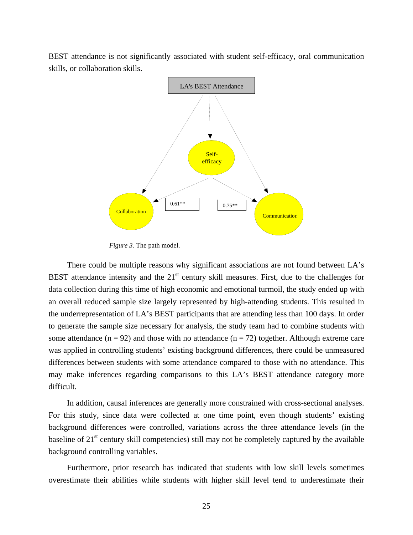BEST attendance is not significantly associated with student self-efficacy, oral communication skills, or collaboration skills.



*Figure 3.* The path model.

There could be multiple reasons why significant associations are not found between LA's BEST attendance intensity and the  $21<sup>st</sup>$  century skill measures. First, due to the challenges for data collection during this time of high economic and emotional turmoil, the study ended up with an overall reduced sample size largely represented by high-attending students. This resulted in the underrepresentation of LA's BEST participants that are attending less than 100 days. In order to generate the sample size necessary for analysis, the study team had to combine students with some attendance  $(n = 92)$  and those with no attendance  $(n = 72)$  together. Although extreme care was applied in controlling students' existing background differences, there could be unmeasured differences between students with some attendance compared to those with no attendance. This may make inferences regarding comparisons to this LA's BEST attendance category more difficult.

In addition, causal inferences are generally more constrained with cross-sectional analyses. For this study, since data were collected at one time point, even though students' existing background differences were controlled, variations across the three attendance levels (in the baseline of 21<sup>st</sup> century skill competencies) still may not be completely captured by the available background controlling variables.

Furthermore, prior research has indicated that students with low skill levels sometimes overestimate their abilities while students with higher skill level tend to underestimate their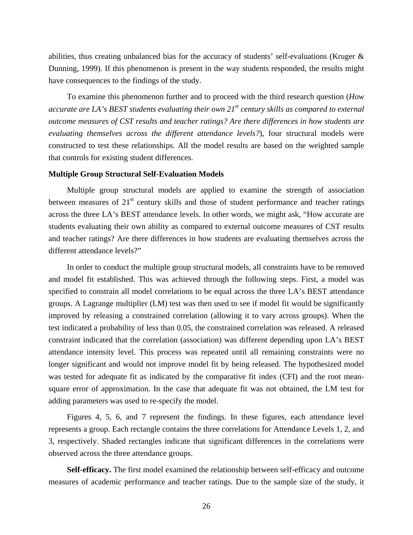abilities, thus creating unbalanced bias for the accuracy of students' self-evaluations (Kruger & Dunning, 1999). If this phenomenon is present in the way students responded, the results might have consequences to the findings of the study.

To examine this phenomenon further and to proceed with the third research question (*How accurate are LA's BEST students evaluating their own 21st century skills as compared to external outcome measures of CST results and teacher ratings? Are there differences in how students are evaluating themselves across the different attendance levels?*), four structural models were constructed to test these relationships. All the model results are based on the weighted sample that controls for existing student differences.

## **Multiple Group Structural Self-Evaluation Models**

Multiple group structural models are applied to examine the strength of association between measures of  $21<sup>st</sup>$  century skills and those of student performance and teacher ratings across the three LA's BEST attendance levels. In other words, we might ask, "How accurate are students evaluating their own ability as compared to external outcome measures of CST results and teacher ratings? Are there differences in how students are evaluating themselves across the different attendance levels?"

In order to conduct the multiple group structural models, all constraints have to be removed and model fit established. This was achieved through the following steps. First, a model was specified to constrain all model correlations to be equal across the three LA's BEST attendance groups. A Lagrange multiplier (LM) test was then used to see if model fit would be significantly improved by releasing a constrained correlation (allowing it to vary across groups). When the test indicated a probability of less than 0.05, the constrained correlation was released. A released constraint indicated that the correlation (association) was different depending upon LA's BEST attendance intensity level. This process was repeated until all remaining constraints were no longer significant and would not improve model fit by being released. The hypothesized model was tested for adequate fit as indicated by the comparative fit index (CFI) and the root meansquare error of approximation. In the case that adequate fit was not obtained, the LM test for adding parameters was used to re-specify the model.

Figures 4, 5, 6, and 7 represent the findings. In these figures, each attendance level represents a group. Each rectangle contains the three correlations for Attendance Levels 1, 2, and 3, respectively. Shaded rectangles indicate that significant differences in the correlations were observed across the three attendance groups.

**Self-efficacy.** The first model examined the relationship between self-efficacy and outcome measures of academic performance and teacher ratings. Due to the sample size of the study, it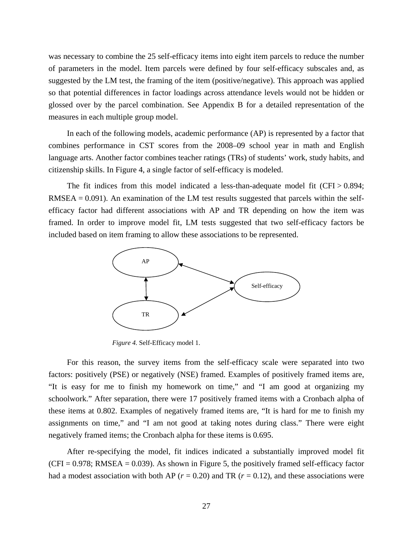was necessary to combine the 25 self-efficacy items into eight item parcels to reduce the number of parameters in the model. Item parcels were defined by four self-efficacy subscales and, as suggested by the LM test, the framing of the item (positive/negative). This approach was applied so that potential differences in factor loadings across attendance levels would not be hidden or glossed over by the parcel combination. See Appendix B for a detailed representation of the measures in each multiple group model.

In each of the following models, academic performance (AP) is represented by a factor that combines performance in CST scores from the 2008–09 school year in math and English language arts. Another factor combines teacher ratings (TRs) of students' work, study habits, and citizenship skills. In Figure 4, a single factor of self-efficacy is modeled.

The fit indices from this model indicated a less-than-adequate model fit  $(CFI > 0.894$ ; RMSEA =  $0.091$ ). An examination of the LM test results suggested that parcels within the selfefficacy factor had different associations with AP and TR depending on how the item was framed. In order to improve model fit, LM tests suggested that two self-efficacy factors be included based on item framing to allow these associations to be represented.



*Figure 4.* Self-Efficacy model 1.

For this reason, the survey items from the self-efficacy scale were separated into two factors: positively (PSE) or negatively (NSE) framed. Examples of positively framed items are, "It is easy for me to finish my homework on time," and "I am good at organizing my schoolwork." After separation, there were 17 positively framed items with a Cronbach alpha of these items at 0.802. Examples of negatively framed items are, "It is hard for me to finish my assignments on time," and "I am not good at taking notes during class." There were eight negatively framed items; the Cronbach alpha for these items is 0.695.

After re-specifying the model, fit indices indicated a substantially improved model fit  $(CFI = 0.978$ ; RMSEA = 0.039). As shown in Figure 5, the positively framed self-efficacy factor had a modest association with both AP ( $r = 0.20$ ) and TR ( $r = 0.12$ ), and these associations were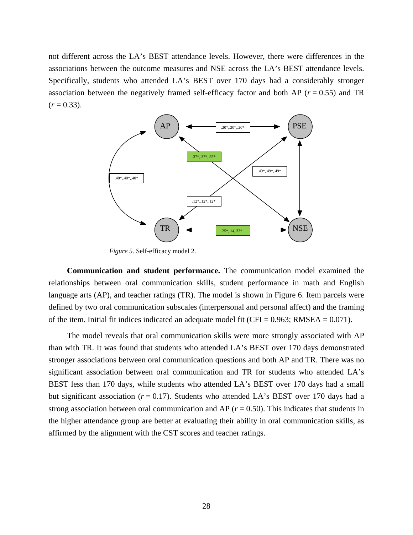not different across the LA's BEST attendance levels. However, there were differences in the associations between the outcome measures and NSE across the LA's BEST attendance levels. Specifically, students who attended LA's BEST over 170 days had a considerably stronger association between the negatively framed self-efficacy factor and both AP ( $r = 0.55$ ) and TR  $(r = 0.33)$ .



*Figure 5.* Self-efficacy model 2.

**Communication and student performance.** The communication model examined the relationships between oral communication skills, student performance in math and English language arts (AP), and teacher ratings (TR). The model is shown in Figure 6. Item parcels were defined by two oral communication subscales (interpersonal and personal affect) and the framing of the item. Initial fit indices indicated an adequate model fit (CFI =  $0.963$ ; RMSEA =  $0.071$ ).

The model reveals that oral communication skills were more strongly associated with AP than with TR. It was found that students who attended LA's BEST over 170 days demonstrated stronger associations between oral communication questions and both AP and TR. There was no significant association between oral communication and TR for students who attended LA's BEST less than 170 days, while students who attended LA's BEST over 170 days had a small but significant association ( $r = 0.17$ ). Students who attended LA's BEST over 170 days had a strong association between oral communication and AP ( $r = 0.50$ ). This indicates that students in the higher attendance group are better at evaluating their ability in oral communication skills, as affirmed by the alignment with the CST scores and teacher ratings.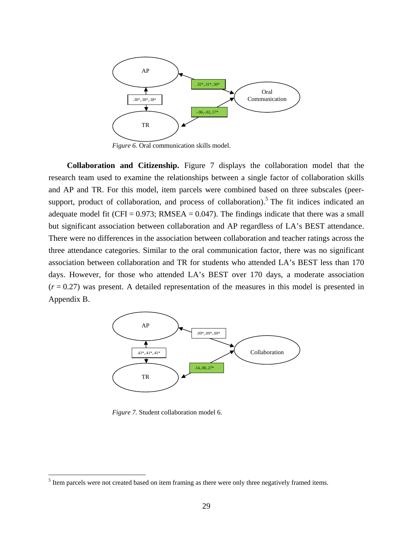

*Figure 6.* Oral communication skills model.

**Collaboration and Citizenship.** Figure 7 displays the collaboration model that the research team used to examine the relationships between a single factor of collaboration skills and AP and TR. For this model, item parcels were combined based on three subscales (peersupport, product of collaboration, and process of collaboration).<sup>5</sup> The fit indices indicated an adequate model fit (CFI =  $0.973$ ; RMSEA =  $0.047$ ). The findings indicate that there was a small but significant association between collaboration and AP regardless of LA's BEST attendance. There were no differences in the association between collaboration and teacher ratings across the three attendance categories. Similar to the oral communication factor, there was no significant association between collaboration and TR for students who attended LA's BEST less than 170 days. However, for those who attended LA's BEST over 170 days, a moderate association  $(r = 0.27)$  was present. A detailed representation of the measures in this model is presented in Appendix B.



*Figure 7.* Student collaboration model 6.

 $\overline{a}$ 

 $<sup>5</sup>$  Item parcels were not created based on item framing as there were only three negatively framed items.</sup>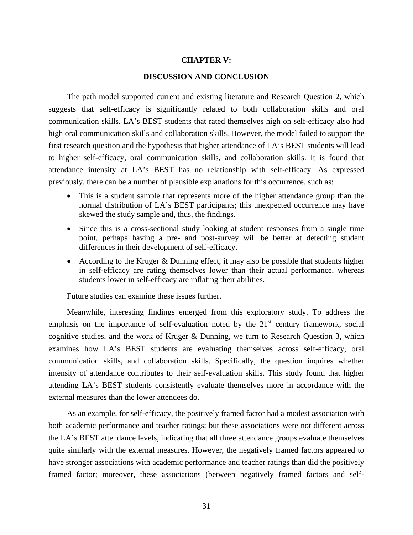## **CHAPTER V:**

## **DISCUSSION AND CONCLUSION**

The path model supported current and existing literature and Research Question 2, which suggests that self-efficacy is significantly related to both collaboration skills and oral communication skills. LA's BEST students that rated themselves high on self-efficacy also had high oral communication skills and collaboration skills. However, the model failed to support the first research question and the hypothesis that higher attendance of LA's BEST students will lead to higher self-efficacy, oral communication skills, and collaboration skills. It is found that attendance intensity at LA's BEST has no relationship with self-efficacy. As expressed previously, there can be a number of plausible explanations for this occurrence, such as:

- This is a student sample that represents more of the higher attendance group than the normal distribution of LA's BEST participants; this unexpected occurrence may have skewed the study sample and, thus, the findings.
- Since this is a cross-sectional study looking at student responses from a single time point, perhaps having a pre- and post-survey will be better at detecting student differences in their development of self-efficacy.
- According to the Kruger & Dunning effect, it may also be possible that students higher in self-efficacy are rating themselves lower than their actual performance, whereas students lower in self-efficacy are inflating their abilities.

Future studies can examine these issues further.

Meanwhile, interesting findings emerged from this exploratory study. To address the emphasis on the importance of self-evaluation noted by the  $21<sup>st</sup>$  century framework, social cognitive studies, and the work of Kruger & Dunning, we turn to Research Question 3, which examines how LA's BEST students are evaluating themselves across self-efficacy, oral communication skills, and collaboration skills. Specifically, the question inquires whether intensity of attendance contributes to their self-evaluation skills. This study found that higher attending LA's BEST students consistently evaluate themselves more in accordance with the external measures than the lower attendees do.

As an example, for self-efficacy, the positively framed factor had a modest association with both academic performance and teacher ratings; but these associations were not different across the LA's BEST attendance levels, indicating that all three attendance groups evaluate themselves quite similarly with the external measures. However, the negatively framed factors appeared to have stronger associations with academic performance and teacher ratings than did the positively framed factor; moreover, these associations (between negatively framed factors and self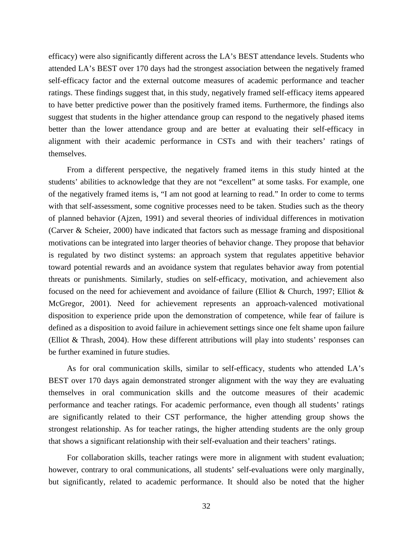efficacy) were also significantly different across the LA's BEST attendance levels. Students who attended LA's BEST over 170 days had the strongest association between the negatively framed self-efficacy factor and the external outcome measures of academic performance and teacher ratings. These findings suggest that, in this study, negatively framed self-efficacy items appeared to have better predictive power than the positively framed items. Furthermore, the findings also suggest that students in the higher attendance group can respond to the negatively phased items better than the lower attendance group and are better at evaluating their self-efficacy in alignment with their academic performance in CSTs and with their teachers' ratings of themselves.

From a different perspective, the negatively framed items in this study hinted at the students' abilities to acknowledge that they are not "excellent" at some tasks. For example, one of the negatively framed items is, "I am not good at learning to read." In order to come to terms with that self-assessment, some cognitive processes need to be taken. Studies such as the theory of planned behavior (Ajzen, 1991) and several theories of individual differences in motivation (Carver & Scheier, 2000) have indicated that factors such as message framing and dispositional motivations can be integrated into larger theories of behavior change. They propose that behavior is regulated by two distinct systems: an approach system that regulates appetitive behavior toward potential rewards and an avoidance system that regulates behavior away from potential threats or punishments. Similarly, studies on self-efficacy, motivation, and achievement also focused on the need for achievement and avoidance of failure (Elliot & Church, 1997; Elliot & McGregor, 2001). Need for achievement represents an approach-valenced motivational disposition to experience pride upon the demonstration of competence, while fear of failure is defined as a disposition to avoid failure in achievement settings since one felt shame upon failure (Elliot & Thrash, 2004). How these different attributions will play into students' responses can be further examined in future studies.

As for oral communication skills, similar to self-efficacy, students who attended LA's BEST over 170 days again demonstrated stronger alignment with the way they are evaluating themselves in oral communication skills and the outcome measures of their academic performance and teacher ratings. For academic performance, even though all students' ratings are significantly related to their CST performance, the higher attending group shows the strongest relationship. As for teacher ratings, the higher attending students are the only group that shows a significant relationship with their self-evaluation and their teachers' ratings.

For collaboration skills, teacher ratings were more in alignment with student evaluation; however, contrary to oral communications, all students' self-evaluations were only marginally, but significantly, related to academic performance. It should also be noted that the higher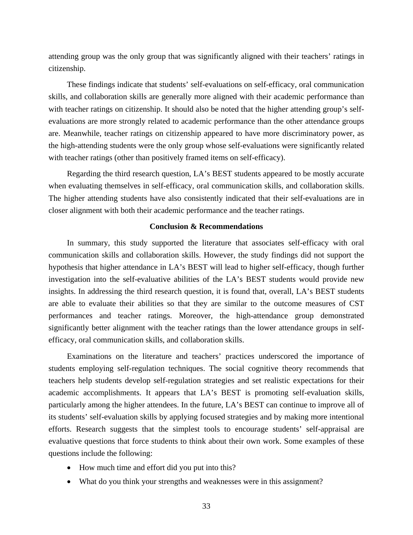attending group was the only group that was significantly aligned with their teachers' ratings in citizenship.

These findings indicate that students' self-evaluations on self-efficacy, oral communication skills, and collaboration skills are generally more aligned with their academic performance than with teacher ratings on citizenship. It should also be noted that the higher attending group's selfevaluations are more strongly related to academic performance than the other attendance groups are. Meanwhile, teacher ratings on citizenship appeared to have more discriminatory power, as the high-attending students were the only group whose self-evaluations were significantly related with teacher ratings (other than positively framed items on self-efficacy).

Regarding the third research question, LA's BEST students appeared to be mostly accurate when evaluating themselves in self-efficacy, oral communication skills, and collaboration skills. The higher attending students have also consistently indicated that their self-evaluations are in closer alignment with both their academic performance and the teacher ratings.

### **Conclusion & Recommendations**

In summary, this study supported the literature that associates self-efficacy with oral communication skills and collaboration skills. However, the study findings did not support the hypothesis that higher attendance in LA's BEST will lead to higher self-efficacy, though further investigation into the self-evaluative abilities of the LA's BEST students would provide new insights. In addressing the third research question, it is found that, overall, LA's BEST students are able to evaluate their abilities so that they are similar to the outcome measures of CST performances and teacher ratings. Moreover, the high-attendance group demonstrated significantly better alignment with the teacher ratings than the lower attendance groups in selfefficacy, oral communication skills, and collaboration skills.

Examinations on the literature and teachers' practices underscored the importance of students employing self-regulation techniques. The social cognitive theory recommends that teachers help students develop self-regulation strategies and set realistic expectations for their academic accomplishments. It appears that LA's BEST is promoting self-evaluation skills, particularly among the higher attendees. In the future, LA's BEST can continue to improve all of its students' self-evaluation skills by applying focused strategies and by making more intentional efforts. Research suggests that the simplest tools to encourage students' self-appraisal are evaluative questions that force students to think about their own work. Some examples of these questions include the following:

- How much time and effort did you put into this?
- What do you think your strengths and weaknesses were in this assignment?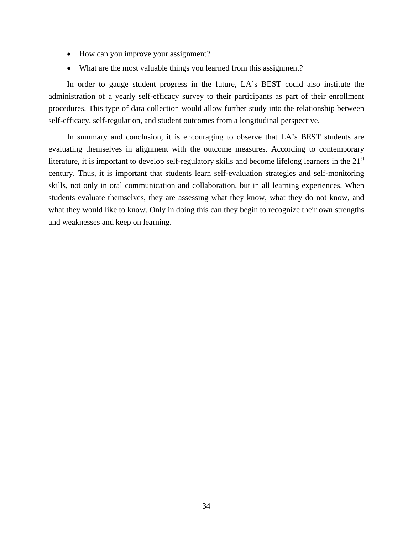- How can you improve your assignment?
- What are the most valuable things you learned from this assignment?

In order to gauge student progress in the future, LA's BEST could also institute the administration of a yearly self-efficacy survey to their participants as part of their enrollment procedures. This type of data collection would allow further study into the relationship between self-efficacy, self-regulation, and student outcomes from a longitudinal perspective.

In summary and conclusion, it is encouraging to observe that LA's BEST students are evaluating themselves in alignment with the outcome measures. According to contemporary literature, it is important to develop self-regulatory skills and become lifelong learners in the 21<sup>st</sup> century. Thus, it is important that students learn self-evaluation strategies and self-monitoring skills, not only in oral communication and collaboration, but in all learning experiences. When students evaluate themselves, they are assessing what they know, what they do not know, and what they would like to know. Only in doing this can they begin to recognize their own strengths and weaknesses and keep on learning.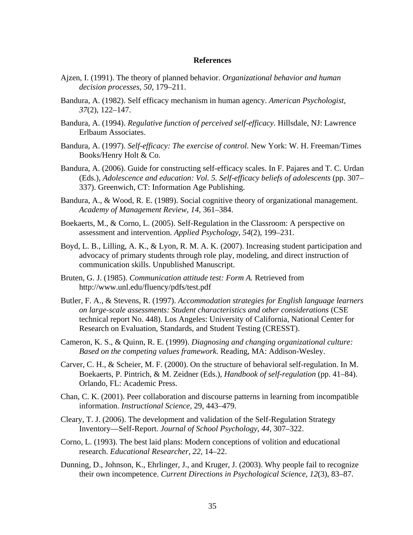## **References**

- Ajzen, I. (1991). The theory of planned behavior. *Organizational behavior and human decision processes, 50*, 179–211.
- Bandura, A. (1982). Self efficacy mechanism in human agency. *American Psychologist, 37*(2), 122–147.
- Bandura, A. (1994). *Regulative function of perceived self-efficacy.* Hillsdale, NJ: Lawrence Erlbaum Associates.
- Bandura, A. (1997). *Self-efficacy: The exercise of control.* New York: W. H. Freeman/Times Books/Henry Holt & Co.
- Bandura, A. (2006). Guide for constructing self-efficacy scales. In F. Pajares and T. C. Urdan (Eds.), *Adolescence and education: Vol. 5. Self-efficacy beliefs of adolescents* (pp. 307– 337). Greenwich, CT: Information Age Publishing.
- Bandura, A., & Wood, R. E. (1989). Social cognitive theory of organizational management. *Academy of Management Review, 14*, 361–384.
- Boekaerts, M., & Corno, L. (2005). Self-Regulation in the Classroom: A perspective on assessment and intervention. *Applied Psychology, 54*(2), 199–231.
- Boyd, L. B., Lilling, A. K., & Lyon, R. M. A. K. (2007). Increasing student participation and advocacy of primary students through role play, modeling, and direct instruction of communication skills. Unpublished Manuscript.
- Bruten, G. J. (1985). *Communication attitude test: Form A.* Retrieved from http://www.unl.edu/fluency/pdfs/test.pdf
- Butler, F. A., & Stevens, R. (1997). *Accommodation strategies for English language learners on large-scale assessments: Student characteristics and other considerations* (CSE technical report No. 448). Los Angeles: University of California, National Center for Research on Evaluation, Standards, and Student Testing (CRESST).
- Cameron, K. S., & Quinn, R. E. (1999). *Diagnosing and changing organizational culture: Based on the competing values framework.* Reading, MA: Addison-Wesley.
- Carver, C. H., & Scheier, M. F. (2000). On the structure of behavioral self-regulation. In M. Boekaerts, P. Pintrich, & M. Zeidner (Eds.), *Handbook of self-regulation* (pp. 41–84). Orlando, FL: Academic Press.
- Chan, C. K. (2001). Peer collaboration and discourse patterns in learning from incompatible information. *Instructional Science,* 29, 443–479.
- Cleary, T. J. (2006). The development and validation of the Self-Regulation Strategy Inventory—Self-Report. *Journal of School Psychology, 44*, 307–322.
- Corno, L. (1993). The best laid plans: Modern conceptions of volition and educational research. *Educational Researcher, 22,* 14–22.
- Dunning, D., Johnson, K., Ehrlinger, J., and Kruger, J. (2003). Why people fail to recognize their own incompetence. *Current Directions in Psychological Science, 12*(3), 83–87.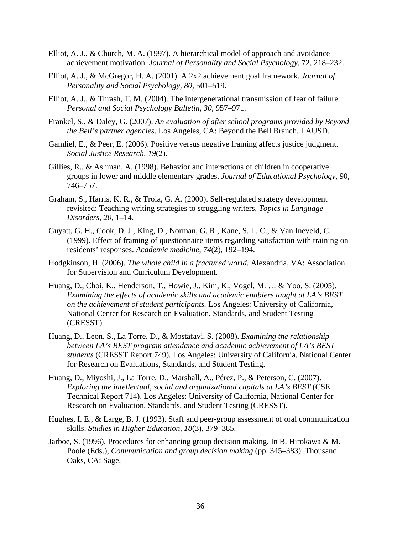- Elliot, A. J., & Church, M. A. (1997). A hierarchical model of approach and avoidance achievement motivation. *Journal of Personality and Social Psychology,* 72, 218–232.
- Elliot, A. J., & McGregor, H. A. (2001). A 2x2 achievement goal framework. *Journal of Personality and Social Psychology, 80*, 501–519.
- Elliot, A. J., & Thrash, T. M. (2004). The intergenerational transmission of fear of failure. *Personal and Social Psychology Bulletin, 30*, 957–971.
- Frankel, S., & Daley, G. (2007). *An evaluation of after school programs provided by Beyond the Bell's partner agencies*. Los Angeles, CA: Beyond the Bell Branch, LAUSD.
- Gamliel, E., & Peer, E. (2006). Positive versus negative framing affects justice judgment. *Social Justice Research, 19*(2).
- Gillies, R., & Ashman, A. (1998). Behavior and interactions of children in cooperative groups in lower and middle elementary grades. *Journal of Educational Psychology,* 90, 746–757.
- Graham, S., Harris, K. R., & Troia, G. A. (2000). Self-regulated strategy development revisited: Teaching writing strategies to struggling writers. *Topics in Language Disorders, 20*, 1–14.
- Guyatt, G. H., Cook, D. J., King, D., Norman, G. R., Kane, S. L. C., & Van Ineveld, C. (1999). Effect of framing of questionnaire items regarding satisfaction with training on residents' responses. *Academic medicine, 74*(2), 192–194.
- Hodgkinson, H. (2006). *The whole child in a fractured world.* Alexandria, VA: Association for Supervision and Curriculum Development.
- Huang, D., Choi, K., Henderson, T., Howie, J., Kim, K., Vogel, M. … & Yoo, S. (2005). *Examining the effects of academic skills and academic enablers taught at LA's BEST on the achievement of student participants.* Los Angeles: University of California, National Center for Research on Evaluation, Standards, and Student Testing (CRESST).
- Huang, D., Leon, S., La Torre, D., & Mostafavi, S. (2008). *Examining the relationship between LA's BEST program attendance and academic achievement of LA's BEST students* (CRESST Report 749)*.* Los Angeles: University of California, National Center for Research on Evaluations, Standards, and Student Testing.
- Huang, D., Miyoshi, J., La Torre, D., Marshall, A., Pérez, P., & Peterson, C. (2007). *Exploring the intellectual, social and organizational capitals at LA's BEST* (CSE Technical Report 714). Los Angeles: University of California, National Center for Research on Evaluation, Standards, and Student Testing (CRESST).
- Hughes, I. E., & Large, B. J. (1993). Staff and peer-group assessment of oral communication skills. *Studies in Higher Education, 18*(3), 379–385.
- Jarboe, S. (1996). Procedures for enhancing group decision making. In B. Hirokawa & M. Poole (Eds.), *Communication and group decision making* (pp. 345–383). Thousand Oaks, CA: Sage.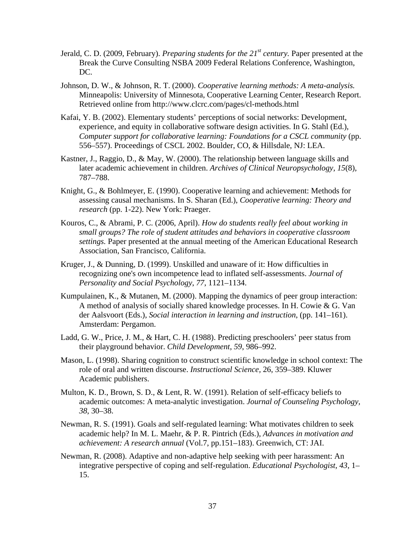- Jerald, C. D. (2009, February). *Preparing students for the 21st century.* Paper presented at the Break the Curve Consulting NSBA 2009 Federal Relations Conference, Washington, DC.
- Johnson, D. W., & Johnson, R. T. (2000). *Cooperative learning methods: A meta-analysis.*  Minneapolis: University of Minnesota, Cooperative Learning Center, Research Report. Retrieved online from http://www.clcrc.com/pages/cl-methods.html
- Kafai, Y. B. (2002). Elementary students' perceptions of social networks: Development, experience, and equity in collaborative software design activities. In G. Stahl (Ed.), *Computer support for collaborative learning: Foundations for a CSCL community* (pp. 556–557). Proceedings of CSCL 2002. Boulder, CO, & Hillsdale, NJ: LEA.
- Kastner, J., Raggio, D., & May, W. (2000). The relationship between language skills and later academic achievement in children. *Archives of Clinical Neuropsychology, 15*(8), 787–788.
- Knight, G., & Bohlmeyer, E. (1990). Cooperative learning and achievement: Methods for assessing causal mechanisms. In S. Sharan (Ed.), *Cooperative learning: Theory and research* (pp. 1-22). New York: Praeger.
- Kouros, C., & Abrami, P. C. (2006, April). *How do students really feel about working in small groups? The role of student attitudes and behaviors in cooperative classroom settings.* Paper presented at the annual meeting of the American Educational Research Association, San Francisco, California.
- Kruger, J., & Dunning, D. (1999). Unskilled and unaware of it: How difficulties in recognizing one's own incompetence lead to inflated self-assessments. *Journal of Personality and Social Psychology*, *77*, 1121–1134.
- Kumpulainen, K., & Mutanen, M. (2000). Mapping the dynamics of peer group interaction: A method of analysis of socially shared knowledge processes. In H. Cowie & G. Van der Aalsvoort (Eds.), *Social interaction in learning and instruction*, (pp. 141–161). Amsterdam: Pergamon.
- Ladd, G. W., Price, J. M., & Hart, C. H. (1988). Predicting preschoolers' peer status from their playground behavior. *Child Development*, *59*, 986–992.
- Mason, L. (1998). Sharing cognition to construct scientific knowledge in school context: The role of oral and written discourse. *Instructional Science,* 26, 359–389. Kluwer Academic publishers.
- Multon, K. D., Brown, S. D., & Lent, R. W. (1991). Relation of self-efficacy beliefs to academic outcomes: A meta-analytic investigation. *Journal of Counseling Psychology, 38*, 30–38.
- Newman, R. S. (1991). Goals and self-regulated learning: What motivates children to seek academic help? In M. L. Maehr, & P. R. Pintrich (Eds.), *Advances in motivation and achievement: A research annual* (Vol.7, pp.151–183). Greenwich, CT: JAI.
- Newman, R. (2008). Adaptive and non-adaptive help seeking with peer harassment: An integrative perspective of coping and self-regulation. *Educational Psychologist, 43*, 1– 15.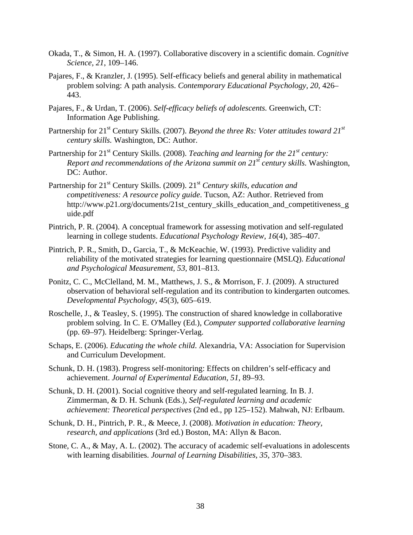- Okada, T., & Simon, H. A. (1997). Collaborative discovery in a scientific domain. *Cognitive Science, 21*, 109–146.
- Pajares, F., & Kranzler, J. (1995). Self-efficacy beliefs and general ability in mathematical problem solving: A path analysis. *Contemporary Educational Psychology, 20*, 426– 443.
- Pajares, F., & Urdan, T. (2006). *Self-efficacy beliefs of adolescents.* Greenwich, CT: Information Age Publishing.
- Partnership for 21<sup>st</sup> Century Skills. (2007). *Beyond the three Rs: Voter attitudes toward 21<sup>st</sup> century skills.* Washington, DC: Author.
- Partnership for 21<sup>st</sup> Century Skills. (2008). *Teaching and learning for the 21<sup>st</sup> century: Report and recommendations of the Arizona summit on 21<sup>st</sup> century skills.* Washington, DC: Author.
- Partnership for 21<sup>st</sup> Century Skills. (2009). 21<sup>st</sup> Century skills, education and *competitiveness: A resource policy guide*. Tucson, AZ: Author. Retrieved from http://www.p21.org/documents/21st\_century\_skills\_education\_and\_competitiveness\_g uide.pdf
- Pintrich, P. R. (2004). A conceptual framework for assessing motivation and self-regulated learning in college students. *Educational Psychology Review, 16*(4), 385–407.
- Pintrich, P. R., Smith, D., Garcia, T., & McKeachie, W. (1993). Predictive validity and reliability of the motivated strategies for learning questionnaire (MSLQ). *Educational and Psychological Measurement, 53,* 801–813.
- Ponitz, C. C., McClelland, M. M., Matthews, J. S., & Morrison, F. J. (2009). A structured observation of behavioral self-regulation and its contribution to kindergarten outcomes*. Developmental Psychology, 45*(3), 605–619.
- Roschelle, J., & Teasley, S. (1995). The construction of shared knowledge in collaborative problem solving. In C. E. O'Malley (Ed.), *Computer supported collaborative learning*  (pp. 69–97). Heidelberg: Springer-Verlag.
- Schaps, E. (2006). *Educating the whole child*. Alexandria, VA: Association for Supervision and Curriculum Development.
- Schunk, D. H. (1983). Progress self-monitoring: Effects on children's self-efficacy and achievement. *Journal of Experimental Education, 51*, 89–93.
- Schunk, D. H. (2001). Social cognitive theory and self-regulated learning. In B. J. Zimmerman, & D. H. Schunk (Eds.), *Self-regulated learning and academic achievement: Theoretical perspectives* (2nd ed., pp 125–152). Mahwah, NJ: Erlbaum.
- Schunk, D. H., Pintrich, P. R., & Meece, J. (2008). *Motivation in education: Theory, research, and applications* (3rd ed*.*) Boston, MA: Allyn & Bacon.
- Stone, C. A., & May, A. L. (2002). The accuracy of academic self-evaluations in adolescents with learning disabilities. *Journal of Learning Disabilities, 35*, 370–383.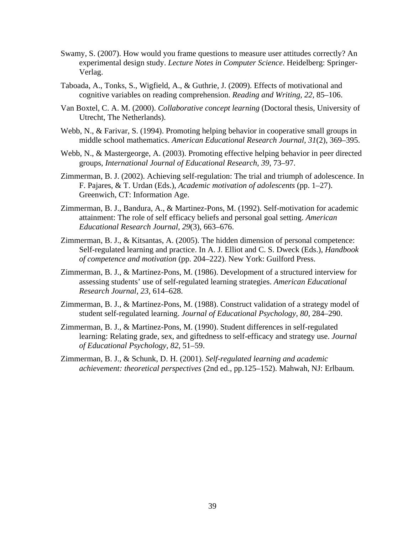- Swamy, S. (2007). How would you frame questions to measure user attitudes correctly? An experimental design study. *Lecture Notes in Computer Science*. Heidelberg: Springer-Verlag.
- Taboada, A., Tonks, S., Wigfield, A., & Guthrie, J. (2009). Effects of motivational and cognitive variables on reading comprehension. *Reading and Writing, 22,* 85–106.
- Van Boxtel, C. A. M. (2000). *Collaborative concept learning* (Doctoral thesis, University of Utrecht, The Netherlands).
- Webb, N., & Farivar, S. (1994). Promoting helping behavior in cooperative small groups in middle school mathematics. *American Educational Research Journal, 31*(2), 369–395.
- Webb, N., & Mastergeorge, A. (2003). Promoting effective helping behavior in peer directed groups, *International Journal of Educational Research, 39*, 73–97.
- Zimmerman, B. J. (2002). Achieving self-regulation: The trial and triumph of adolescence. In F. Pajares, & T. Urdan (Eds.), *Academic motivation of adolescents* (pp. 1–27). Greenwich, CT: Information Age.
- Zimmerman, B. J., Bandura, A., & Martinez-Pons, M. (1992). Self-motivation for academic attainment: The role of self efficacy beliefs and personal goal setting. *American Educational Research Journal, 29*(3), 663–676.
- Zimmerman, B. J., & Kitsantas, A. (2005). The hidden dimension of personal competence: Self-regulated learning and practice. In A. J. Elliot and C. S. Dweck (Eds.), *Handbook of competence and motivation* (pp. 204–222). New York: Guilford Press.
- Zimmerman, B. J., & Martinez-Pons, M. (1986). Development of a structured interview for assessing students' use of self-regulated learning strategies. *American Educational Research Journal, 23,* 614–628.
- Zimmerman, B. J., & Martinez-Pons, M. (1988). Construct validation of a strategy model of student self-regulated learning. *Journal of Educational Psychology, 80,* 284–290.
- Zimmerman, B. J., & Martinez-Pons, M. (1990). Student differences in self-regulated learning: Relating grade, sex, and giftedness to self-efficacy and strategy use. *Journal of Educational Psychology, 82*, 51–59.
- Zimmerman, B. J., & Schunk, D. H. (2001). *Self-regulated learning and academic achievement: theoretical perspectives* (2nd ed., pp.125–152). Mahwah, NJ: Erlbaum*.*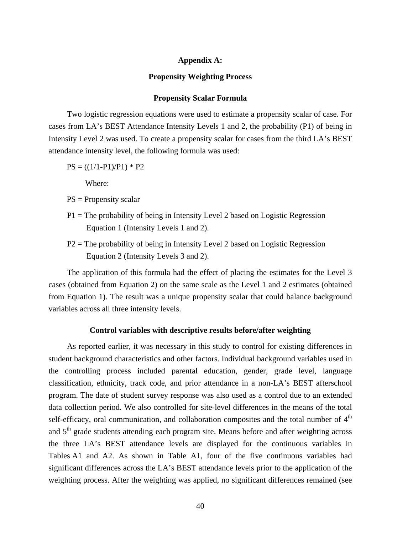## **Appendix A:**

#### **Propensity Weighting Process**

### **Propensity Scalar Formula**

Two logistic regression equations were used to estimate a propensity scalar of case. For cases from LA's BEST Attendance Intensity Levels 1 and 2, the probability (P1) of being in Intensity Level 2 was used. To create a propensity scalar for cases from the third LA's BEST attendance intensity level, the following formula was used:

 $PS = ((1/1-P1)/P1) * P2$ 

Where:

- PS = Propensity scalar
- P1 = The probability of being in Intensity Level 2 based on Logistic Regression Equation 1 (Intensity Levels 1 and 2).
- P2 = The probability of being in Intensity Level 2 based on Logistic Regression Equation 2 (Intensity Levels 3 and 2).

The application of this formula had the effect of placing the estimates for the Level 3 cases (obtained from Equation 2) on the same scale as the Level 1 and 2 estimates (obtained from Equation 1). The result was a unique propensity scalar that could balance background variables across all three intensity levels.

## **Control variables with descriptive results before/after weighting**

As reported earlier, it was necessary in this study to control for existing differences in student background characteristics and other factors. Individual background variables used in the controlling process included parental education, gender, grade level, language classification, ethnicity, track code, and prior attendance in a non-LA's BEST afterschool program. The date of student survey response was also used as a control due to an extended data collection period. We also controlled for site-level differences in the means of the total self-efficacy, oral communication, and collaboration composites and the total number of  $4<sup>th</sup>$ and  $5<sup>th</sup>$  grade students attending each program site. Means before and after weighting across the three LA's BEST attendance levels are displayed for the continuous variables in Tables A1 and A2. As shown in Table A1, four of the five continuous variables had significant differences across the LA's BEST attendance levels prior to the application of the weighting process. After the weighting was applied, no significant differences remained (see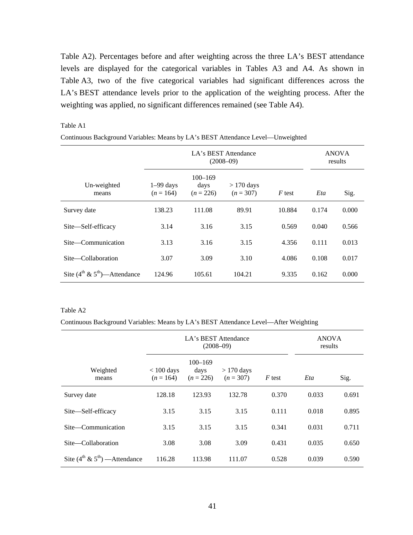Table A2). Percentages before and after weighting across the three LA's BEST attendance levels are displayed for the categorical variables in Tables A3 and A4. As shown in Table A3, two of the five categorical variables had significant differences across the LA's BEST attendance levels prior to the application of the weighting process. After the weighting was applied, no significant differences remained (see Table A4).

#### Table A1

| Continuous Background Variables: Means by LA's BEST Attendance Level—Unweighted |  |  |
|---------------------------------------------------------------------------------|--|--|
|                                                                                 |  |  |

|                                       | LA's BEST Attendance<br>$(2008 - 09)$ |                                    |                            |          |       | <b>ANOVA</b><br>results |
|---------------------------------------|---------------------------------------|------------------------------------|----------------------------|----------|-------|-------------------------|
| Un-weighted<br>means                  | $1-99$ days<br>$(n = 164)$            | $100 - 169$<br>days<br>$(n = 226)$ | $>170$ days<br>$(n = 307)$ | $F$ test | Eta   | Sig.                    |
| Survey date                           | 138.23                                | 111.08                             | 89.91                      | 10.884   | 0.174 | 0.000                   |
| Site—Self-efficacy                    | 3.14                                  | 3.16                               | 3.15                       | 0.569    | 0.040 | 0.566                   |
| Site—Communication                    | 3.13                                  | 3.16                               | 3.15                       | 4.356    | 0.111 | 0.013                   |
| Site-Collaboration                    | 3.07                                  | 3.09                               | 3.10                       | 4.086    | 0.108 | 0.017                   |
| Site $(4^{th} \& 5^{th})$ —Attendance | 124.96                                | 105.61                             | 104.21                     | 9.335    | 0.162 | 0.000                   |

#### Table A2

Continuous Background Variables: Means by LA's BEST Attendance Level—After Weighting

|                                        | LA's BEST Attendance<br>$(2008 - 09)$ |                                    |                            |        | <b>ANOVA</b><br>results |       |
|----------------------------------------|---------------------------------------|------------------------------------|----------------------------|--------|-------------------------|-------|
| Weighted<br>means                      | $< 100 \text{ days}$<br>$(n = 164)$   | $100 - 169$<br>days<br>$(n = 226)$ | $>170$ days<br>$(n = 307)$ | F test | Eta                     | Sig.  |
| Survey date                            | 128.18                                | 123.93                             | 132.78                     | 0.370  | 0.033                   | 0.691 |
| Site—Self-efficacy                     | 3.15                                  | 3.15                               | 3.15                       | 0.111  | 0.018                   | 0.895 |
| Site—Communication                     | 3.15                                  | 3.15                               | 3.15                       | 0.341  | 0.031                   | 0.711 |
| Site-Collaboration                     | 3.08                                  | 3.08                               | 3.09                       | 0.431  | 0.035                   | 0.650 |
| Site $(4^{th} \& 5^{th})$ — Attendance | 116.28                                | 113.98                             | 111.07                     | 0.528  | 0.039                   | 0.590 |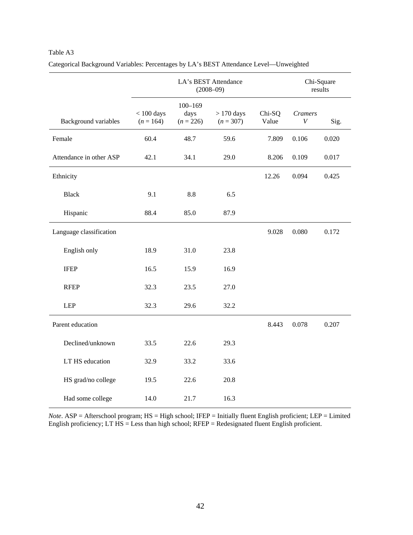## Table A3

|                             | LA's BEST Attendance<br>$(2008 - 09)$ |                                    |                             |                 | Chi-Square<br>results              |       |
|-----------------------------|---------------------------------------|------------------------------------|-----------------------------|-----------------|------------------------------------|-------|
| <b>Background</b> variables | $< 100$ days<br>$(n = 164)$           | $100 - 169$<br>days<br>$(n = 226)$ | $> 170$ days<br>$(n = 307)$ | Chi-SQ<br>Value | <b>Cramers</b><br>$\boldsymbol{V}$ | Sig.  |
| Female                      | 60.4                                  | 48.7                               | 59.6                        | 7.809           | 0.106                              | 0.020 |
| Attendance in other ASP     | 42.1                                  | 34.1                               | 29.0                        | 8.206           | 0.109                              | 0.017 |
| Ethnicity                   |                                       |                                    |                             | 12.26           | 0.094                              | 0.425 |
| <b>Black</b>                | 9.1                                   | 8.8                                | 6.5                         |                 |                                    |       |
| Hispanic                    | 88.4                                  | 85.0                               | 87.9                        |                 |                                    |       |
| Language classification     |                                       |                                    |                             | 9.028           | 0.080                              | 0.172 |
| English only                | 18.9                                  | 31.0                               | 23.8                        |                 |                                    |       |
| <b>IFEP</b>                 | 16.5                                  | 15.9                               | 16.9                        |                 |                                    |       |
| <b>RFEP</b>                 | 32.3                                  | 23.5                               | 27.0                        |                 |                                    |       |
| <b>LEP</b>                  | 32.3                                  | 29.6                               | 32.2                        |                 |                                    |       |
| Parent education            |                                       |                                    |                             | 8.443           | 0.078                              | 0.207 |
| Declined/unknown            | 33.5                                  | 22.6                               | 29.3                        |                 |                                    |       |
| LT HS education             | 32.9                                  | 33.2                               | 33.6                        |                 |                                    |       |
| HS grad/no college          | 19.5                                  | 22.6                               | 20.8                        |                 |                                    |       |
| Had some college            | 14.0                                  | 21.7                               | 16.3                        |                 |                                    |       |

Categorical Background Variables: Percentages by LA's BEST Attendance Level—Unweighted

*Note*. ASP = Afterschool program; HS = High school; IFEP = Initially fluent English proficient; LEP = Limited English proficiency; LT  $\overline{HS}$  = Less than high school; RFEP = Redesignated fluent English proficient.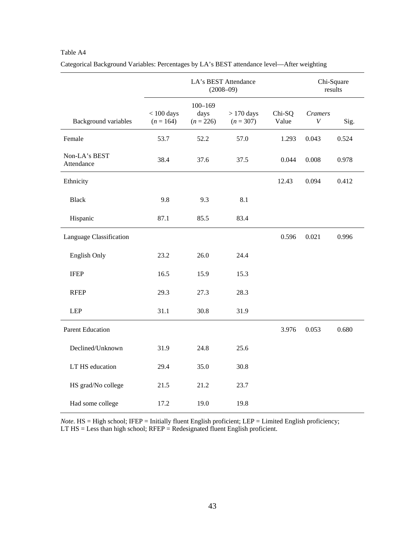## LA's BEST Attendance (2008–09) Chi-Square results Background variables  $< 100$  days  $(n = 164)$ 100–169 days  $(n = 226)$ > 170 days  $(n = 307)$ Chi-SQ Value *Cramers V* Sig. Female 53.7 52.2 57.0 1.293 0.043 0.524 Non-LA's BEST Attendance 38.4 37.6 37.5 0.044 0.008 0.978 Ethnicity 12.43 0.094 0.412 Black 9.8 9.3 8.1 Hispanic 87.1 85.5 83.4 Language Classification  $0.596 \t 0.021 \t 0.996$ English Only 23.2 26.0 24.4 IFEP 16.5 15.9 15.3 RFEP 29.3 27.3 28.3 LEP 31.1 30.8 31.9 Parent Education 3.976 0.053 0.680 Declined/Unknown 31.9 24.8 25.6 LT HS education 29.4 35.0 30.8 HS grad/No college 21.5 21.2 23.7 Had some college 17.2 19.0 19.8

Categorical Background Variables: Percentages by LA's BEST attendance level—After weighting

Table A4

*Note*. HS = High school; IFEP = Initially fluent English proficient; LEP = Limited English proficiency;  $LT$  HS = Less than high school;  $RFEP = Redesignated$  fluent English proficient.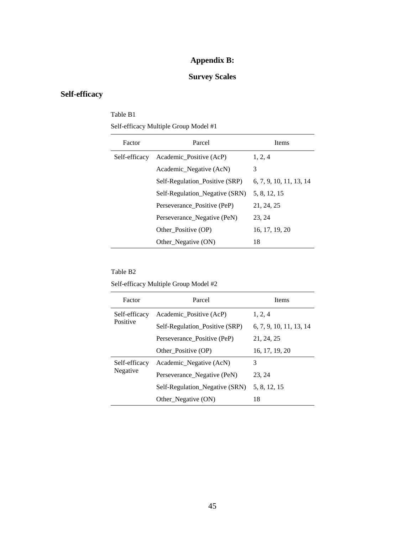## **Appendix B:**

## **Survey Scales**

## **Self-efficacy**

## Table B1 Self-efficacy Multiple Group Model #1

| Factor        | Parcel                         | <b>Items</b>            |
|---------------|--------------------------------|-------------------------|
| Self-efficacy | Academic_Positive (AcP)        | 1, 2, 4                 |
|               | Academic Negative (AcN)        | 3                       |
|               | Self-Regulation_Positive (SRP) | 6, 7, 9, 10, 11, 13, 14 |
|               | Self-Regulation_Negative (SRN) | 5, 8, 12, 15            |
|               | Perseverance Positive (PeP)    | 21, 24, 25              |
|               | Perseverance_Negative (PeN)    | 23, 24                  |
|               | Other Positive (OP)            | 16, 17, 19, 20          |
|               | Other_Negative (ON)            | 18                      |

## Table B2

Self-efficacy Multiple Group Model #2

| Factor        | Parcel                         | <b>Items</b>            |
|---------------|--------------------------------|-------------------------|
| Self-efficacy | Academic_Positive (AcP)        | 1, 2, 4                 |
| Positive      | Self-Regulation_Positive (SRP) | 6, 7, 9, 10, 11, 13, 14 |
|               | Perseverance Positive (PeP)    | 21, 24, 25              |
|               | Other Positive (OP)            | 16, 17, 19, 20          |
| Self-efficacy | Academic_Negative (AcN)        | 3                       |
| Negative      | Perseverance_Negative (PeN)    | 23, 24                  |
|               | Self-Regulation_Negative (SRN) | 5, 8, 12, 15            |
|               | Other_Negative (ON)            | 18                      |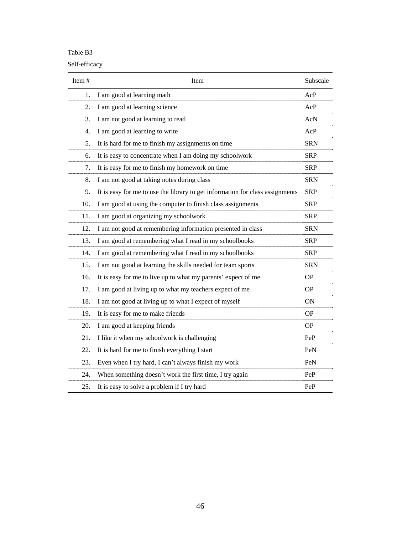## Table B3

## Self-efficacy

| Item# | Item                                                                          | Subscale   |
|-------|-------------------------------------------------------------------------------|------------|
| 1.    | I am good at learning math                                                    | AcP        |
| 2.    | I am good at learning science                                                 | AcP        |
| 3.    | I am not good at learning to read                                             | AcN        |
| 4.    | I am good at learning to write                                                | AcP        |
| 5.    | It is hard for me to finish my assignments on time                            | <b>SRN</b> |
| 6.    | It is easy to concentrate when I am doing my schoolwork                       | <b>SRP</b> |
| 7.    | It is easy for me to finish my homework on time                               | <b>SRP</b> |
| 8.    | I am not good at taking notes during class                                    | <b>SRN</b> |
| 9.    | It is easy for me to use the library to get information for class assignments | <b>SRP</b> |
| 10.   | I am good at using the computer to finish class assignments                   | <b>SRP</b> |
| 11.   | I am good at organizing my schoolwork                                         | <b>SRP</b> |
| 12.   | I am not good at remembering information presented in class                   | <b>SRN</b> |
| 13.   | I am good at remembering what I read in my schoolbooks                        | <b>SRP</b> |
| 14.   | I am good at remembering what I read in my schoolbooks                        | <b>SRP</b> |
| 15.   | I am not good at learning the skills needed for team sports                   | <b>SRN</b> |
| 16.   | It is easy for me to live up to what my parents' expect of me                 | <b>OP</b>  |
| 17.   | I am good at living up to what my teachers expect of me                       | <b>OP</b>  |
| 18.   | I am not good at living up to what I expect of myself                         | ON         |
| 19.   | It is easy for me to make friends                                             | <b>OP</b>  |
| 20.   | I am good at keeping friends                                                  | <b>OP</b>  |
| 21.   | I like it when my schoolwork is challenging                                   | PeP        |
| 22.   | It is hard for me to finish everything I start                                | PeN        |
| 23.   | Even when I try hard, I can't always finish my work                           | PeN        |
| 24.   | When something doesn't work the first time, I try again                       | PeP        |
| 25.   | It is easy to solve a problem if I try hard                                   | PeP        |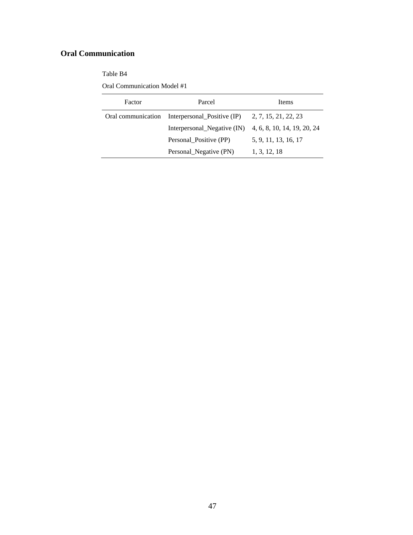# **Oral Communication**

Table B4

Oral Communication Model #1

| Factor | Parcel                                                                       | <b>Items</b>         |
|--------|------------------------------------------------------------------------------|----------------------|
|        | Oral communication Interpersonal Positive $(\text{IP})$ 2, 7, 15, 21, 22, 23 |                      |
|        | Interpersonal_Negative $(IN)$ 4, 6, 8, 10, 14, 19, 20, 24                    |                      |
|        | Personal_Positive (PP)                                                       | 5, 9, 11, 13, 16, 17 |
|        | Personal_Negative (PN)                                                       | 1, 3, 12, 18         |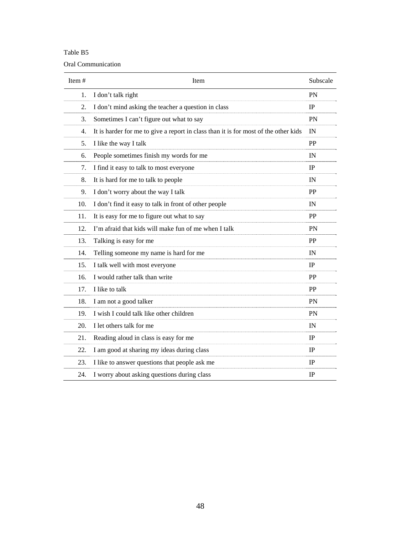## Table B5

### Oral Communication

| Item $#$ | Item                                                                                | Subscale    |
|----------|-------------------------------------------------------------------------------------|-------------|
| 1.       | I don't talk right                                                                  | <b>PN</b>   |
| 2.       | I don't mind asking the teacher a question in class                                 | IP          |
| 3.       | Sometimes I can't figure out what to say                                            | <b>PN</b>   |
| 4.       | It is harder for me to give a report in class than it is for most of the other kids | IN          |
| 5.       | I like the way I talk                                                               | PP          |
| 6.       | People sometimes finish my words for me                                             | IN          |
| 7.       | I find it easy to talk to most everyone                                             | <b>IP</b>   |
| 8.       | It is hard for me to talk to people                                                 | IN          |
| 9.       | I don't worry about the way I talk                                                  | PP          |
| 10.      | I don't find it easy to talk in front of other people                               | IN          |
| 11.      | It is easy for me to figure out what to say                                         | PP          |
| 12.      | I'm afraid that kids will make fun of me when I talk                                | <b>PN</b>   |
| 13.      | Talking is easy for me                                                              | <b>PP</b>   |
| 14.      | Telling someone my name is hard for me                                              | IN          |
| 15.      | I talk well with most everyone                                                      | IP          |
| 16.      | I would rather talk than write                                                      | PP          |
| 17.      | I like to talk                                                                      | PP          |
| 18.      | I am not a good talker                                                              | <b>PN</b>   |
| 19.      | I wish I could talk like other children                                             | PN          |
| 20.      | I let others talk for me                                                            | IN          |
| 21.      | Reading aloud in class is easy for me                                               | IP          |
| 22.      | I am good at sharing my ideas during class                                          | IP          |
| 23.      | I like to answer questions that people ask me                                       | $_{\rm IP}$ |
| 24.      | I worry about asking questions during class                                         | $_{\rm IP}$ |